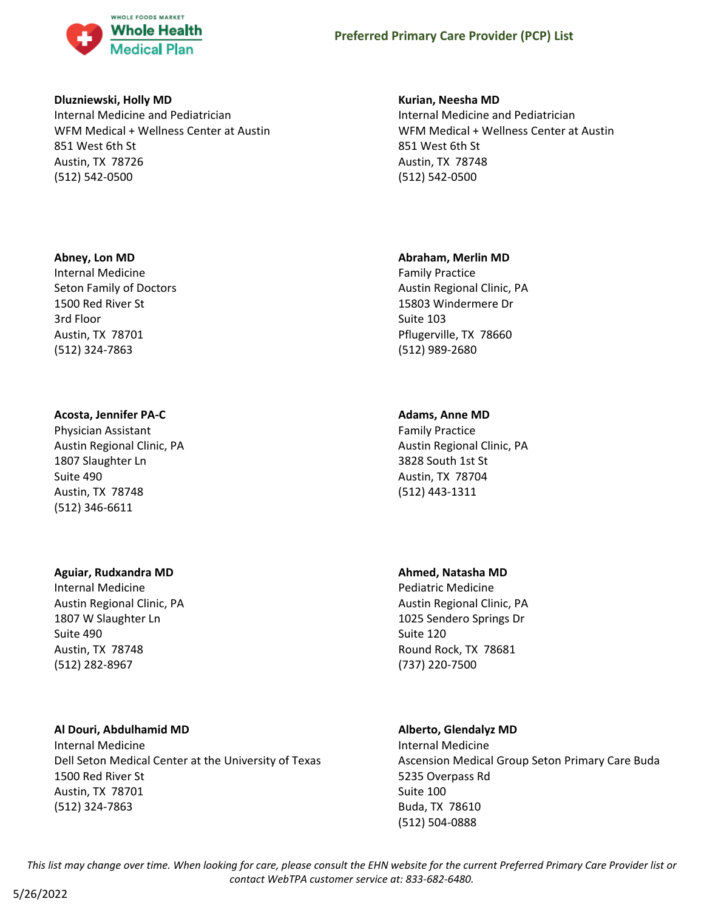

### **Dluzniewski, Holly MD**

Internal Medicine and Pediatrician WFM Medical + Wellness Center at Austin 851 West 6th St Austin, TX 78726 (512) 542-0500

# **Abney, Lon MD**

Internal Medicine Seton Family of Doctors 1500 Red River St 3rd Floor Austin, TX 78701 (512) 324-7863

# **Acosta, Jennifer PA-C**

Physician Assistant Austin Regional Clinic, PA 1807 Slaughter Ln Suite 490 Austin, TX 78748 (512) 346-6611

# **Aguiar, Rudxandra MD**

Internal Medicine Austin Regional Clinic, PA 1807 W Slaughter Ln Suite 490 Austin, TX 78748 (512) 282-8967

# **Al Douri, Abdulhamid MD**

Internal Medicine Dell Seton Medical Center at the University of Texas 1500 Red River St Austin, TX 78701 (512) 324-7863

# **Kurian, Neesha MD**

Internal Medicine and Pediatrician WFM Medical + Wellness Center at Austin 851 West 6th St Austin, TX 78748 (512) 542-0500

# **Abraham, Merlin MD**

Family Practice Austin Regional Clinic, PA 15803 Windermere Dr Suite 103 Pflugerville, TX 78660 (512) 989-2680

# **Adams, Anne MD**

Family Practice Austin Regional Clinic, PA 3828 South 1st St Austin, TX 78704 (512) 443-1311

# **Ahmed, Natasha MD**

Pediatric Medicine Austin Regional Clinic, PA 1025 Sendero Springs Dr Suite 120 Round Rock, TX 78681 (737) 220-7500

# **Alberto, Glendalyz MD**

Internal Medicine Ascension Medical Group Seton Primary Care Buda 5235 Overpass Rd Suite 100 Buda, TX 78610 (512) 504-0888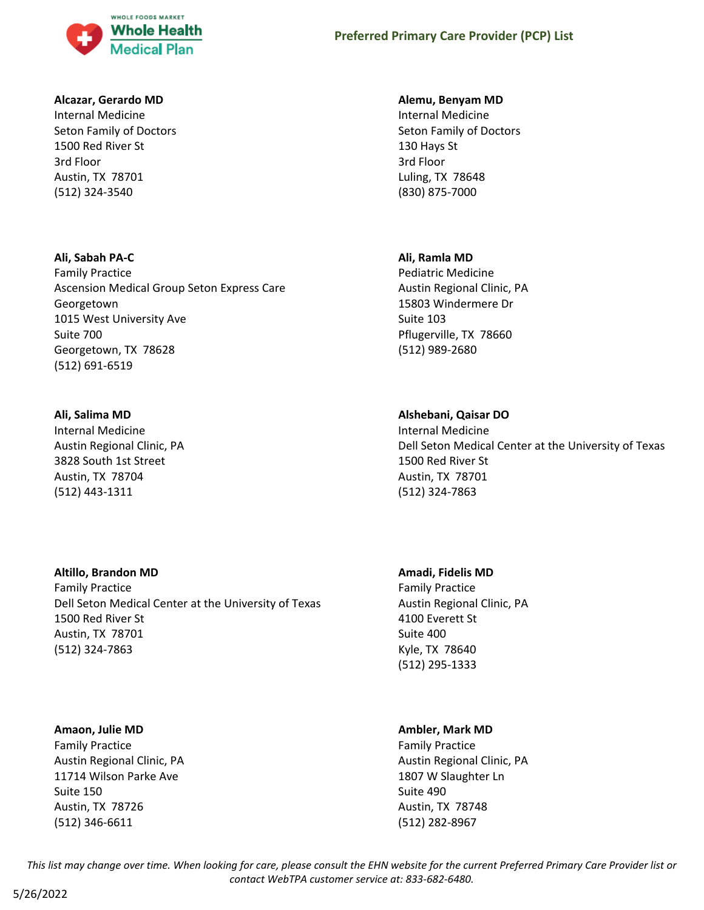

# **Alcazar, Gerardo MD**

Internal Medicine Seton Family of Doctors 1500 Red River St 3rd Floor Austin, TX 78701 (512) 324-3540

# **Ali, Sabah PA-C**

Family Practice Ascension Medical Group Seton Express Care Georgetown 1015 West University Ave Suite 700 Georgetown, TX 78628 (512) 691-6519

# **Ali, Salima MD**

Internal Medicine Austin Regional Clinic, PA 3828 South 1st Street Austin, TX 78704 (512) 443-1311

# **Altillo, Brandon MD**

Family Practice Dell Seton Medical Center at the University of Texas 1500 Red River St Austin, TX 78701 (512) 324-7863

# **Amaon, Julie MD**

Family Practice Austin Regional Clinic, PA 11714 Wilson Parke Ave Suite 150 Austin, TX 78726 (512) 346-6611

# **Alemu, Benyam MD**

Internal Medicine Seton Family of Doctors 130 Hays St 3rd Floor Luling, TX 78648 (830) 875-7000

# **Ali, Ramla MD**

Pediatric Medicine Austin Regional Clinic, PA 15803 Windermere Dr Suite 103 Pflugerville, TX 78660 (512) 989-2680

# **Alshebani, Qaisar DO**

Internal Medicine Dell Seton Medical Center at the University of Texas 1500 Red River St Austin, TX 78701 (512) 324-7863

# **Amadi, Fidelis MD**

Family Practice Austin Regional Clinic, PA 4100 Everett St Suite 400 Kyle, TX 78640 (512) 295-1333

# **Ambler, Mark MD**

Family Practice Austin Regional Clinic, PA 1807 W Slaughter Ln Suite 490 Austin, TX 78748 (512) 282-8967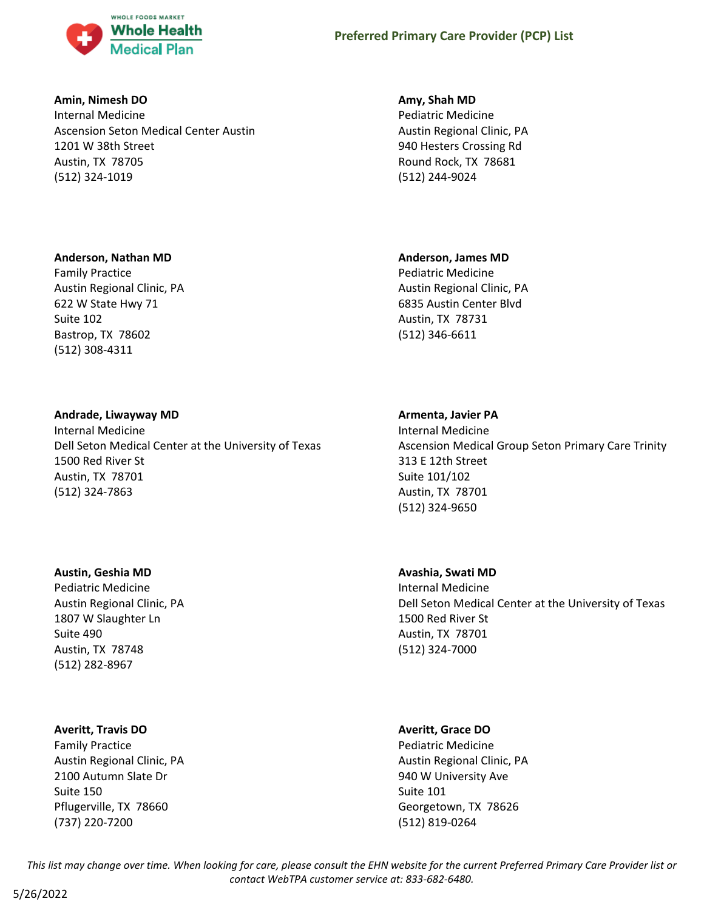

# **Amin, Nimesh DO**

Internal Medicine Ascension Seton Medical Center Austin 1201 W 38th Street Austin, TX 78705 (512) 324-1019

# **Amy, Shah MD**

Pediatric Medicine Austin Regional Clinic, PA 940 Hesters Crossing Rd Round Rock, TX 78681 (512) 244-9024

# **Anderson, Nathan MD**

Family Practice Austin Regional Clinic, PA 622 W State Hwy 71 Suite 102 Bastrop, TX 78602 (512) 308-4311

# **Andrade, Liwayway MD**

Internal Medicine Dell Seton Medical Center at the University of Texas 1500 Red River St Austin, TX 78701 (512) 324-7863

# **Austin, Geshia MD**

Pediatric Medicine Austin Regional Clinic, PA 1807 W Slaughter Ln Suite 490 Austin, TX 78748 (512) 282-8967

# **Averitt, Travis DO**

Family Practice Austin Regional Clinic, PA 2100 Autumn Slate Dr Suite 150 Pflugerville, TX 78660 (737) 220-7200

# **Anderson, James MD**

Pediatric Medicine Austin Regional Clinic, PA 6835 Austin Center Blvd Austin, TX 78731 (512) 346-6611

# **Armenta, Javier PA**

Internal Medicine Ascension Medical Group Seton Primary Care Trinity 313 E 12th Street Suite 101/102 Austin, TX 78701 (512) 324-9650

# **Avashia, Swati MD**

Internal Medicine Dell Seton Medical Center at the University of Texas 1500 Red River St Austin, TX 78701 (512) 324-7000

# **Averitt, Grace DO**

Pediatric Medicine Austin Regional Clinic, PA 940 W University Ave Suite 101 Georgetown, TX 78626 (512) 819-0264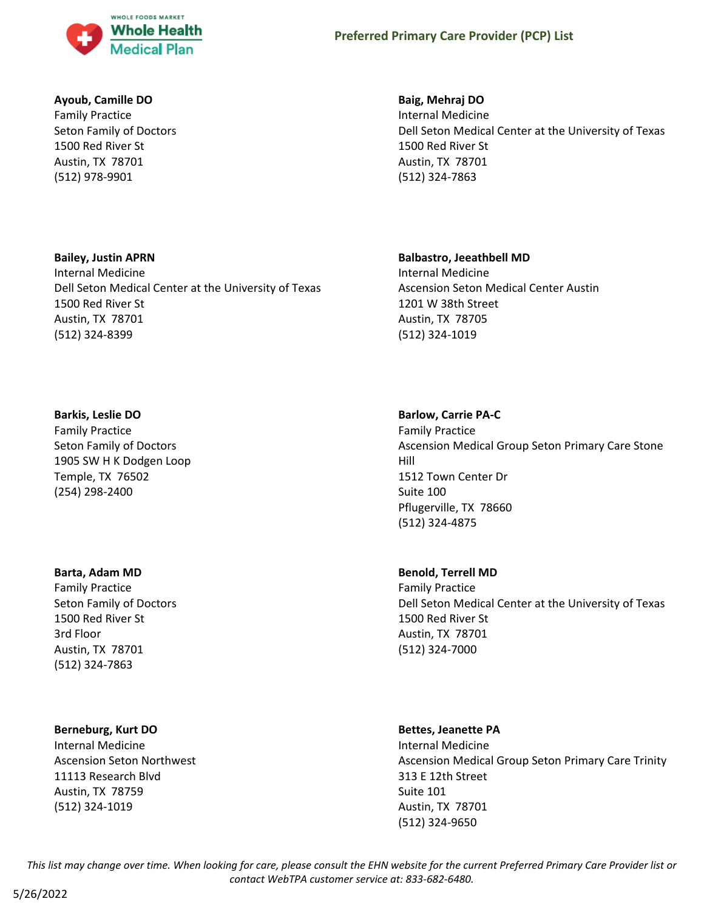

# **Ayoub, Camille DO**

Family Practice Seton Family of Doctors 1500 Red River St Austin, TX 78701 (512) 978-9901

# **Bailey, Justin APRN**

Internal Medicine Dell Seton Medical Center at the University of Texas 1500 Red River St Austin, TX 78701 (512) 324-8399

# **Barkis, Leslie DO**

Family Practice Seton Family of Doctors 1905 SW H K Dodgen Loop Temple, TX 76502 (254) 298-2400

# **Barta, Adam MD**

Family Practice Seton Family of Doctors 1500 Red River St 3rd Floor Austin, TX 78701 (512) 324-7863

# **Berneburg, Kurt DO**

Internal Medicine Ascension Seton Northwest 11113 Research Blvd Austin, TX 78759 (512) 324-1019

# **Baig, Mehraj DO**

Internal Medicine Dell Seton Medical Center at the University of Texas 1500 Red River St Austin, TX 78701 (512) 324-7863

# **Balbastro, Jeeathbell MD**

Internal Medicine Ascension Seton Medical Center Austin 1201 W 38th Street Austin, TX 78705 (512) 324-1019

# **Barlow, Carrie PA-C**

Family Practice Ascension Medical Group Seton Primary Care Stone Hill 1512 Town Center Dr Suite 100 Pflugerville, TX 78660 (512) 324-4875

# **Benold, Terrell MD**

Family Practice Dell Seton Medical Center at the University of Texas 1500 Red River St Austin, TX 78701 (512) 324-7000

#### **Bettes, Jeanette PA**

Internal Medicine Ascension Medical Group Seton Primary Care Trinity 313 E 12th Street Suite 101 Austin, TX 78701 (512) 324-9650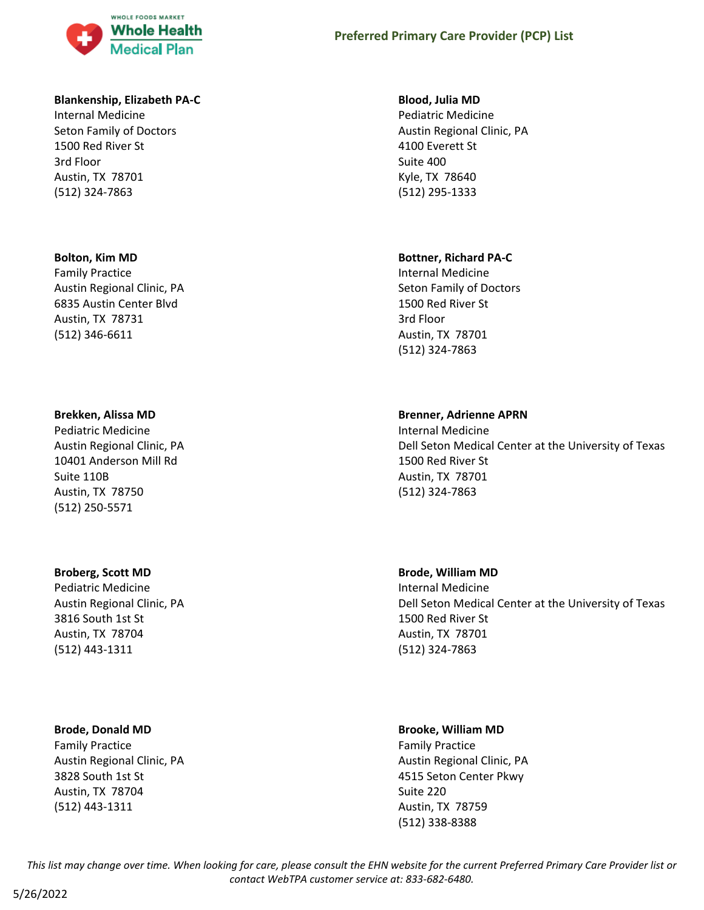

# **Blankenship, Elizabeth PA-C**

Internal Medicine Seton Family of Doctors 1500 Red River St 3rd Floor Austin, TX 78701 (512) 324-7863

#### **Bolton, Kim MD**

Family Practice Austin Regional Clinic, PA 6835 Austin Center Blvd Austin, TX 78731 (512) 346-6611

#### **Brekken, Alissa MD**

Pediatric Medicine Austin Regional Clinic, PA 10401 Anderson Mill Rd Suite 110B Austin, TX 78750 (512) 250-5571

# **Broberg, Scott MD**

Pediatric Medicine Austin Regional Clinic, PA 3816 South 1st St Austin, TX 78704 (512) 443-1311

# **Brode, Donald MD**

Family Practice Austin Regional Clinic, PA 3828 South 1st St Austin, TX 78704 (512) 443-1311

### **Blood, Julia MD**

Pediatric Medicine Austin Regional Clinic, PA 4100 Everett St Suite 400 Kyle, TX 78640 (512) 295-1333

#### **Bottner, Richard PA-C**

Internal Medicine Seton Family of Doctors 1500 Red River St 3rd Floor Austin, TX 78701 (512) 324-7863

#### **Brenner, Adrienne APRN**

Internal Medicine Dell Seton Medical Center at the University of Texas 1500 Red River St Austin, TX 78701 (512) 324-7863

# **Brode, William MD**

Internal Medicine Dell Seton Medical Center at the University of Texas 1500 Red River St Austin, TX 78701 (512) 324-7863

# **Brooke, William MD**

Family Practice Austin Regional Clinic, PA 4515 Seton Center Pkwy Suite 220 Austin, TX 78759 (512) 338-8388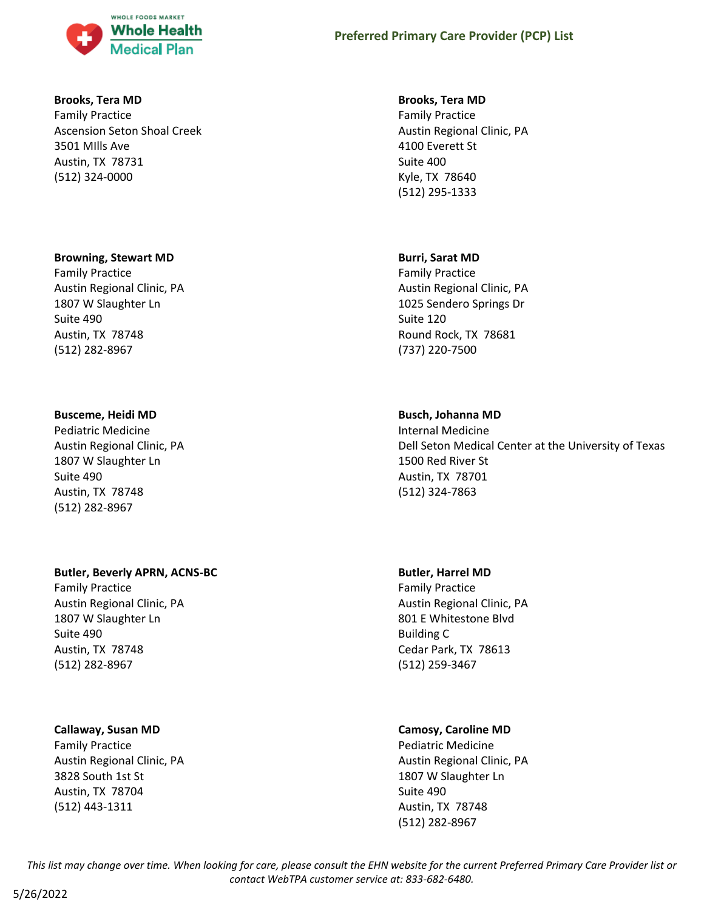

# **Brooks, Tera MD**

Family Practice Ascension Seton Shoal Creek 3501 MIlls Ave Austin, TX 78731 (512) 324-0000

#### **Browning, Stewart MD**

Family Practice Austin Regional Clinic, PA 1807 W Slaughter Ln Suite 490 Austin, TX 78748 (512) 282-8967

# **Busceme, Heidi MD**

Pediatric Medicine Austin Regional Clinic, PA 1807 W Slaughter Ln Suite 490 Austin, TX 78748 (512) 282-8967

# **Butler, Beverly APRN, ACNS-BC**

Family Practice Austin Regional Clinic, PA 1807 W Slaughter Ln Suite 490 Austin, TX 78748 (512) 282-8967

# **Callaway, Susan MD**

Family Practice Austin Regional Clinic, PA 3828 South 1st St Austin, TX 78704 (512) 443-1311

### **Brooks, Tera MD**

Family Practice Austin Regional Clinic, PA 4100 Everett St Suite 400 Kyle, TX 78640 (512) 295-1333

# **Burri, Sarat MD**

Family Practice Austin Regional Clinic, PA 1025 Sendero Springs Dr Suite 120 Round Rock, TX 78681 (737) 220-7500

# **Busch, Johanna MD**

Internal Medicine Dell Seton Medical Center at the University of Texas 1500 Red River St Austin, TX 78701 (512) 324-7863

# **Butler, Harrel MD**

Family Practice Austin Regional Clinic, PA 801 E Whitestone Blvd Building C Cedar Park, TX 78613 (512) 259-3467

# **Camosy, Caroline MD**

Pediatric Medicine Austin Regional Clinic, PA 1807 W Slaughter Ln Suite 490 Austin, TX 78748 (512) 282-8967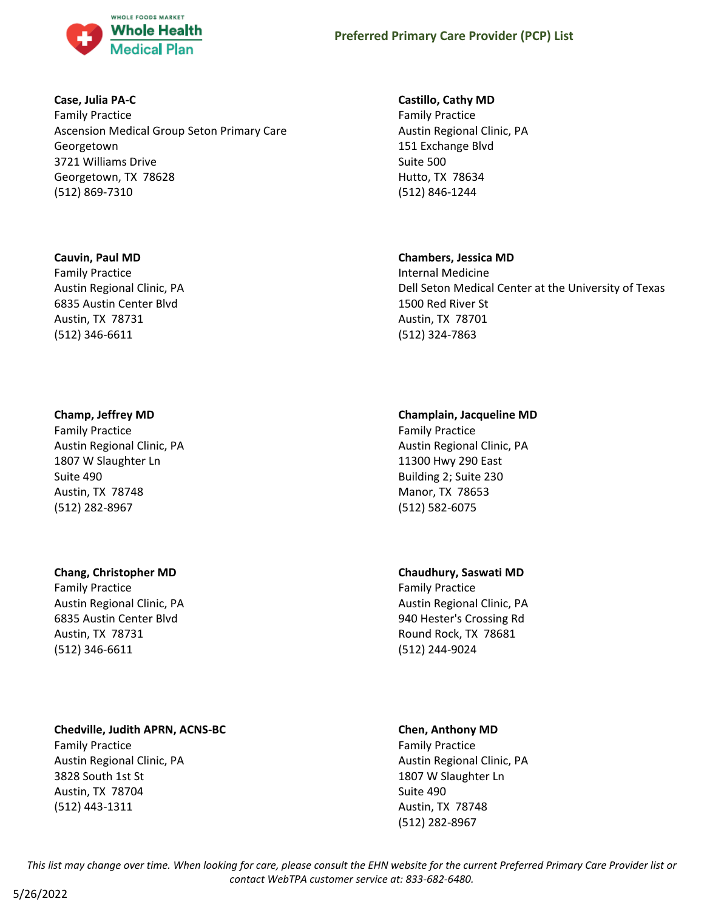

# **Case, Julia PA-C**

Family Practice Ascension Medical Group Seton Primary Care Georgetown 3721 Williams Drive Georgetown, TX 78628 (512) 869-7310

# **Cauvin, Paul MD**

Family Practice Austin Regional Clinic, PA 6835 Austin Center Blvd Austin, TX 78731 (512) 346-6611

# **Champ, Jeffrey MD**

Family Practice Austin Regional Clinic, PA 1807 W Slaughter Ln Suite 490 Austin, TX 78748 (512) 282-8967

# **Chang, Christopher MD**

Family Practice Austin Regional Clinic, PA 6835 Austin Center Blvd Austin, TX 78731 (512) 346-6611

# **Chedville, Judith APRN, ACNS-BC**

Family Practice Austin Regional Clinic, PA 3828 South 1st St Austin, TX 78704 (512) 443-1311

# **Castillo, Cathy MD**

Family Practice Austin Regional Clinic, PA 151 Exchange Blvd Suite 500 Hutto, TX 78634 (512) 846-1244

# **Chambers, Jessica MD**

Internal Medicine Dell Seton Medical Center at the University of Texas 1500 Red River St Austin, TX 78701 (512) 324-7863

# **Champlain, Jacqueline MD**

Family Practice Austin Regional Clinic, PA 11300 Hwy 290 East Building 2; Suite 230 Manor, TX 78653 (512) 582-6075

# **Chaudhury, Saswati MD**

Family Practice Austin Regional Clinic, PA 940 Hester's Crossing Rd Round Rock, TX 78681 (512) 244-9024

# **Chen, Anthony MD**

Family Practice Austin Regional Clinic, PA 1807 W Slaughter Ln Suite 490 Austin, TX 78748 (512) 282-8967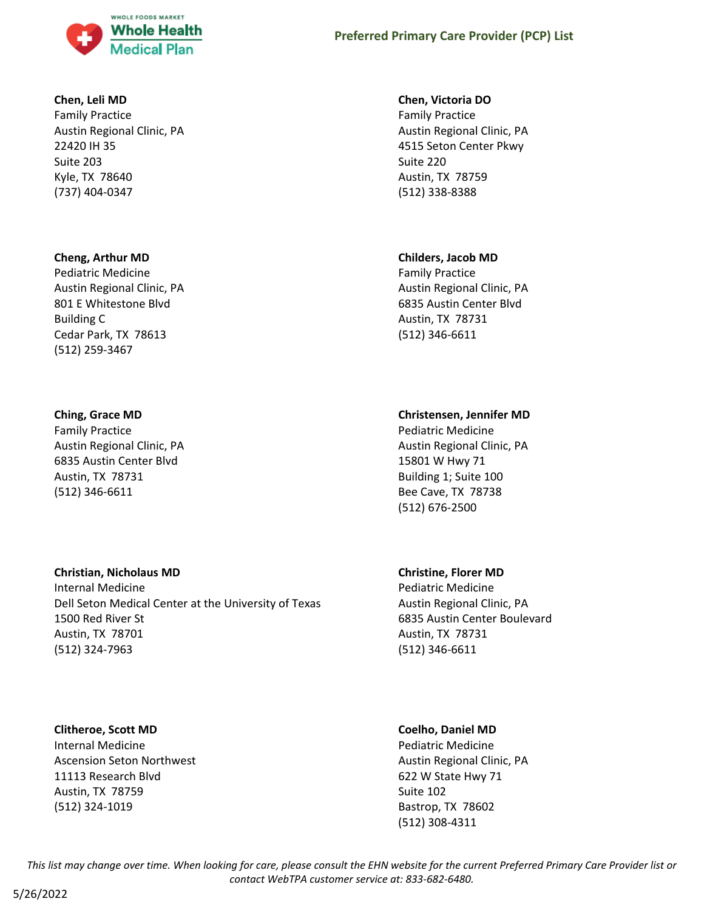

# **Chen, Leli MD**

Family Practice Austin Regional Clinic, PA 22420 IH 35 Suite 203 Kyle, TX 78640 (737) 404-0347

# **Cheng, Arthur MD**

Pediatric Medicine Austin Regional Clinic, PA 801 E Whitestone Blvd Building C Cedar Park, TX 78613 (512) 259-3467

# **Ching, Grace MD**

Family Practice Austin Regional Clinic, PA 6835 Austin Center Blvd Austin, TX 78731 (512) 346-6611

# **Christian, Nicholaus MD**

Internal Medicine Dell Seton Medical Center at the University of Texas 1500 Red River St Austin, TX 78701 (512) 324-7963

# **Clitheroe, Scott MD**

Internal Medicine Ascension Seton Northwest 11113 Research Blvd Austin, TX 78759 (512) 324-1019

# **Chen, Victoria DO**

Family Practice Austin Regional Clinic, PA 4515 Seton Center Pkwy Suite 220 Austin, TX 78759 (512) 338-8388

# **Childers, Jacob MD**

Family Practice Austin Regional Clinic, PA 6835 Austin Center Blvd Austin, TX 78731 (512) 346-6611

# **Christensen, Jennifer MD**

Pediatric Medicine Austin Regional Clinic, PA 15801 W Hwy 71 Building 1; Suite 100 Bee Cave, TX 78738 (512) 676-2500

# **Christine, Florer MD**

Pediatric Medicine Austin Regional Clinic, PA 6835 Austin Center Boulevard Austin, TX 78731 (512) 346-6611

# **Coelho, Daniel MD**

Pediatric Medicine Austin Regional Clinic, PA 622 W State Hwy 71 Suite 102 Bastrop, TX 78602 (512) 308-4311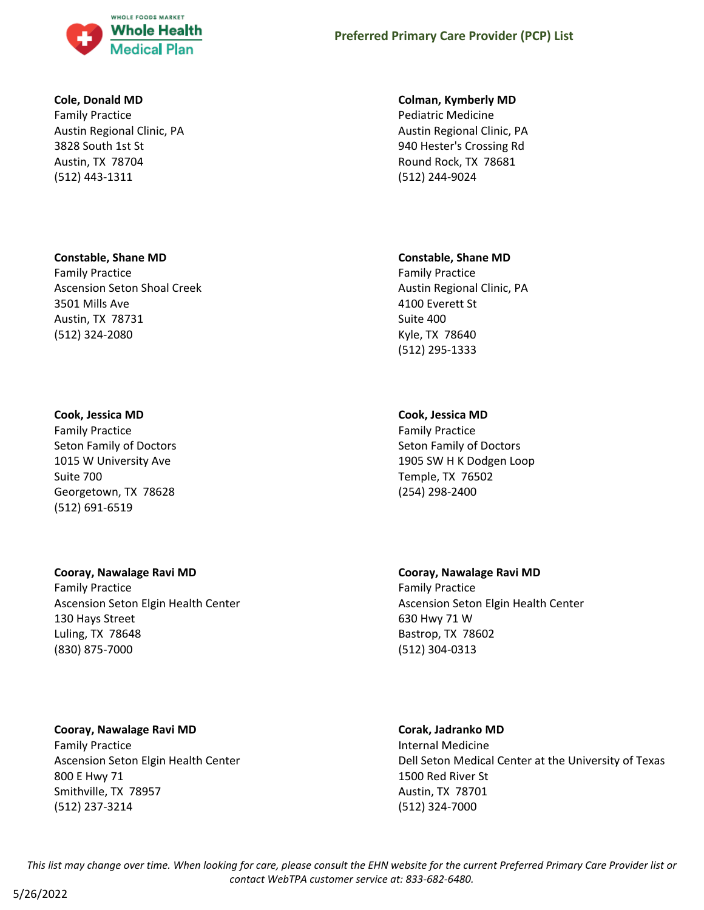

# **Cole, Donald MD**

Family Practice Austin Regional Clinic, PA 3828 South 1st St Austin, TX 78704 (512) 443-1311

#### **Constable, Shane MD**

Family Practice Ascension Seton Shoal Creek 3501 Mills Ave Austin, TX 78731 (512) 324-2080

#### **Cook, Jessica MD**

Family Practice Seton Family of Doctors 1015 W University Ave Suite 700 Georgetown, TX 78628 (512) 691-6519

#### **Cooray, Nawalage Ravi MD**

Family Practice Ascension Seton Elgin Health Center 130 Hays Street Luling, TX 78648 (830) 875-7000

# **Cooray, Nawalage Ravi MD**

Family Practice Ascension Seton Elgin Health Center 800 E Hwy 71 Smithville, TX 78957 (512) 237-3214

#### **Colman, Kymberly MD**

Pediatric Medicine Austin Regional Clinic, PA 940 Hester's Crossing Rd Round Rock, TX 78681 (512) 244-9024

#### **Constable, Shane MD**

Family Practice Austin Regional Clinic, PA 4100 Everett St Suite 400 Kyle, TX 78640 (512) 295-1333

# **Cook, Jessica MD**

Family Practice Seton Family of Doctors 1905 SW H K Dodgen Loop Temple, TX 76502 (254) 298-2400

**Cooray, Nawalage Ravi MD** Family Practice Ascension Seton Elgin Health Center 630 Hwy 71 W Bastrop, TX 78602 (512) 304-0313

# **Corak, Jadranko MD**

Internal Medicine Dell Seton Medical Center at the University of Texas 1500 Red River St Austin, TX 78701 (512) 324-7000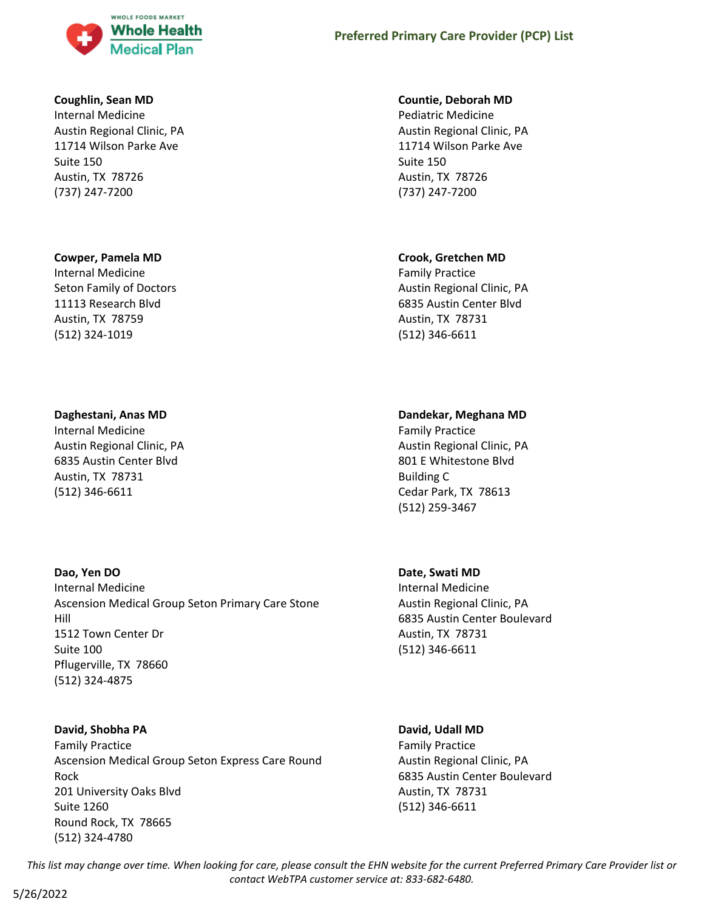

### **Coughlin, Sean MD**

Internal Medicine Austin Regional Clinic, PA 11714 Wilson Parke Ave Suite 150 Austin, TX 78726 (737) 247-7200

#### **Cowper, Pamela MD**

Internal Medicine Seton Family of Doctors 11113 Research Blvd Austin, TX 78759 (512) 324-1019

#### **Daghestani, Anas MD**

Internal Medicine Austin Regional Clinic, PA 6835 Austin Center Blvd Austin, TX 78731 (512) 346-6611

# **Dao, Yen DO**

Internal Medicine Ascension Medical Group Seton Primary Care Stone Hill 1512 Town Center Dr Suite 100 Pflugerville, TX 78660 (512) 324-4875

#### **David, Shobha PA**

Family Practice Ascension Medical Group Seton Express Care Round Rock 201 University Oaks Blvd Suite 1260 Round Rock, TX 78665 (512) 324-4780

### **Countie, Deborah MD**

Pediatric Medicine Austin Regional Clinic, PA 11714 Wilson Parke Ave Suite 150 Austin, TX 78726 (737) 247-7200

### **Crook, Gretchen MD**

Family Practice Austin Regional Clinic, PA 6835 Austin Center Blvd Austin, TX 78731 (512) 346-6611

# **Dandekar, Meghana MD**

Family Practice Austin Regional Clinic, PA 801 E Whitestone Blvd Building C Cedar Park, TX 78613 (512) 259-3467

# **Date, Swati MD**

Internal Medicine Austin Regional Clinic, PA 6835 Austin Center Boulevard Austin, TX 78731 (512) 346-6611

#### **David, Udall MD**

Family Practice Austin Regional Clinic, PA 6835 Austin Center Boulevard Austin, TX 78731 (512) 346-6611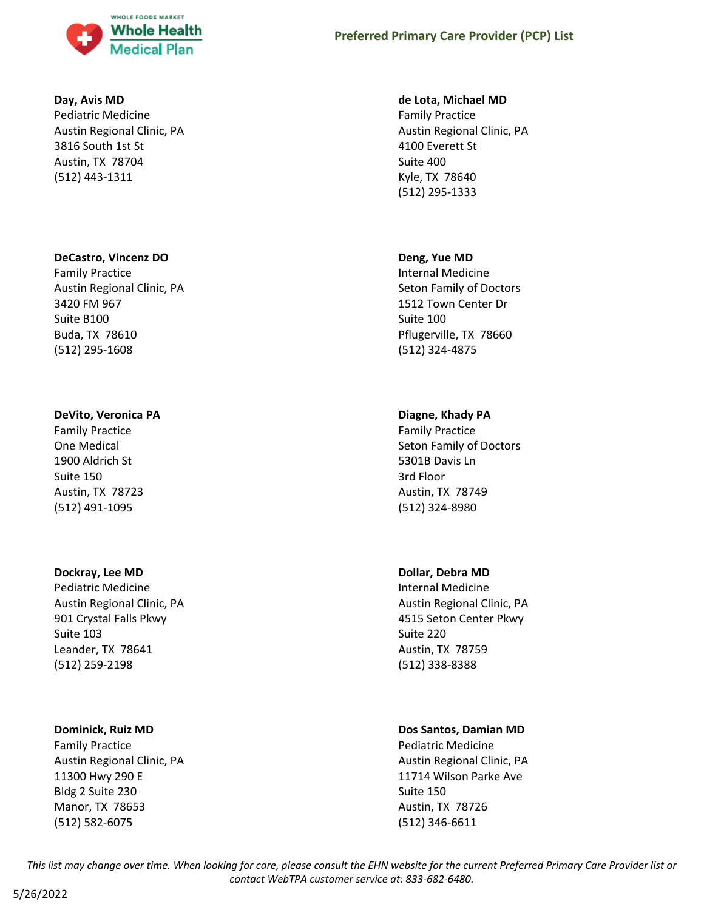

### **Day, Avis MD**

Pediatric Medicine Austin Regional Clinic, PA 3816 South 1st St Austin, TX 78704 (512) 443-1311

#### **DeCastro, Vincenz DO**

Family Practice Austin Regional Clinic, PA 3420 FM 967 Suite B100 Buda, TX 78610 (512) 295-1608

# **DeVito, Veronica PA**

Family Practice One Medical 1900 Aldrich St Suite 150 Austin, TX 78723 (512) 491-1095

#### **Dockray, Lee MD**

Pediatric Medicine Austin Regional Clinic, PA 901 Crystal Falls Pkwy Suite 103 Leander, TX 78641 (512) 259-2198

#### **Dominick, Ruiz MD**

Family Practice Austin Regional Clinic, PA 11300 Hwy 290 E Bldg 2 Suite 230 Manor, TX 78653 (512) 582-6075

#### **de Lota, Michael MD**

Family Practice Austin Regional Clinic, PA 4100 Everett St Suite 400 Kyle, TX 78640 (512) 295-1333

# **Deng, Yue MD**

Internal Medicine Seton Family of Doctors 1512 Town Center Dr Suite 100 Pflugerville, TX 78660 (512) 324-4875

# **Diagne, Khady PA**

Family Practice Seton Family of Doctors 5301B Davis Ln 3rd Floor Austin, TX 78749 (512) 324-8980

# **Dollar, Debra MD**

Internal Medicine Austin Regional Clinic, PA 4515 Seton Center Pkwy Suite 220 Austin, TX 78759 (512) 338-8388

# **Dos Santos, Damian MD**

Pediatric Medicine Austin Regional Clinic, PA 11714 Wilson Parke Ave Suite 150 Austin, TX 78726 (512) 346-6611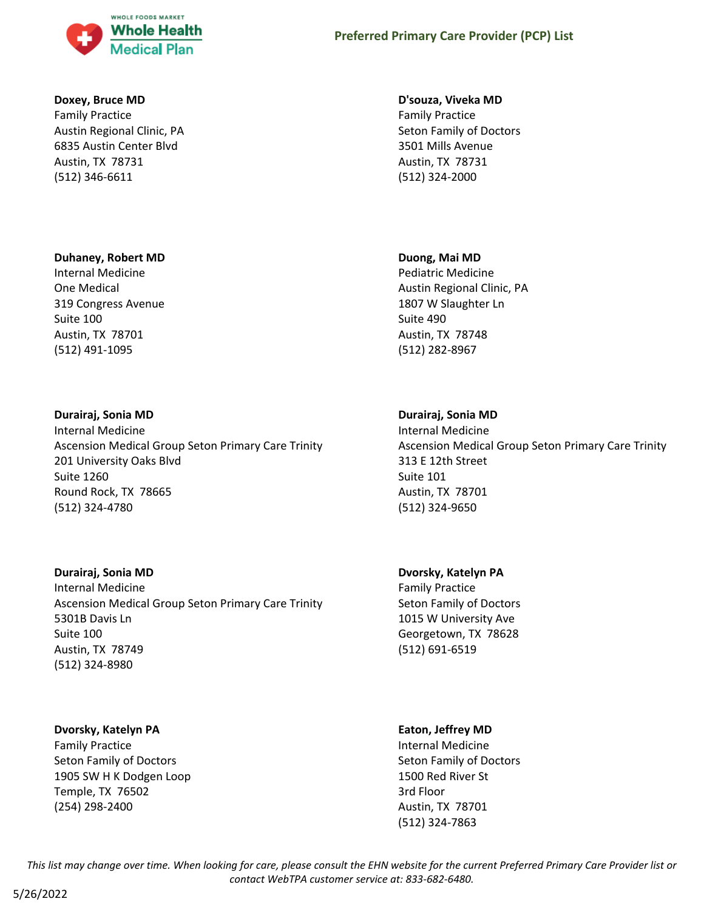

### **Doxey, Bruce MD**

Family Practice Austin Regional Clinic, PA 6835 Austin Center Blvd Austin, TX 78731 (512) 346-6611

#### **Duhaney, Robert MD**

Internal Medicine One Medical 319 Congress Avenue Suite 100 Austin, TX 78701 (512) 491-1095

#### **Durairaj, Sonia MD**

Internal Medicine Ascension Medical Group Seton Primary Care Trinity 201 University Oaks Blvd Suite 1260 Round Rock, TX 78665 (512) 324-4780

# **Durairaj, Sonia MD**

Internal Medicine Ascension Medical Group Seton Primary Care Trinity 5301B Davis Ln Suite 100 Austin, TX 78749 (512) 324-8980

#### **Dvorsky, Katelyn PA**

Family Practice Seton Family of Doctors 1905 SW H K Dodgen Loop Temple, TX 76502 (254) 298-2400

#### **D'souza, Viveka MD**

Family Practice Seton Family of Doctors 3501 Mills Avenue Austin, TX 78731 (512) 324-2000

#### **Duong, Mai MD**

Pediatric Medicine Austin Regional Clinic, PA 1807 W Slaughter Ln Suite 490 Austin, TX 78748 (512) 282-8967

# **Durairaj, Sonia MD**

Internal Medicine Ascension Medical Group Seton Primary Care Trinity 313 E 12th Street Suite 101 Austin, TX 78701 (512) 324-9650

# **Dvorsky, Katelyn PA** Family Practice Seton Family of Doctors 1015 W University Ave Georgetown, TX 78628 (512) 691-6519

# **Eaton, Jeffrey MD**

Internal Medicine Seton Family of Doctors 1500 Red River St 3rd Floor Austin, TX 78701 (512) 324-7863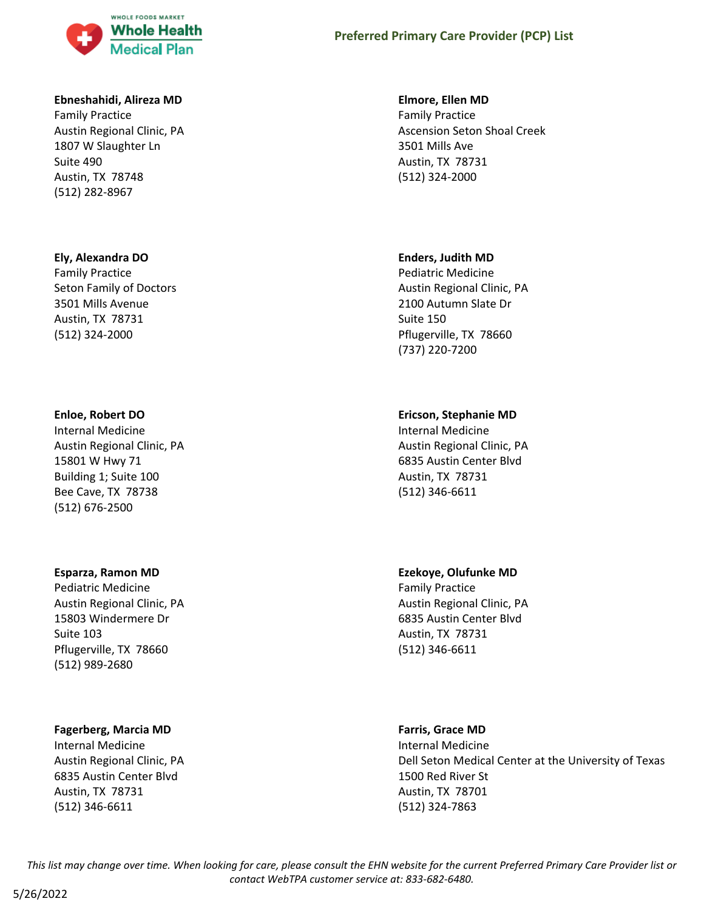

#### **Ebneshahidi, Alireza MD**

Family Practice Austin Regional Clinic, PA 1807 W Slaughter Ln Suite 490 Austin, TX 78748 (512) 282-8967

#### **Ely, Alexandra DO**

Family Practice Seton Family of Doctors 3501 Mills Avenue Austin, TX 78731 (512) 324-2000

#### **Enloe, Robert DO**

Internal Medicine Austin Regional Clinic, PA 15801 W Hwy 71 Building 1; Suite 100 Bee Cave, TX 78738 (512) 676-2500

#### **Esparza, Ramon MD**

Pediatric Medicine Austin Regional Clinic, PA 15803 Windermere Dr Suite 103 Pflugerville, TX 78660 (512) 989-2680

### **Fagerberg, Marcia MD**

Internal Medicine Austin Regional Clinic, PA 6835 Austin Center Blvd Austin, TX 78731 (512) 346-6611

#### **Elmore, Ellen MD**

Family Practice Ascension Seton Shoal Creek 3501 Mills Ave Austin, TX 78731 (512) 324-2000

#### **Enders, Judith MD**

Pediatric Medicine Austin Regional Clinic, PA 2100 Autumn Slate Dr Suite 150 Pflugerville, TX 78660 (737) 220-7200

# **Ericson, Stephanie MD**

Internal Medicine Austin Regional Clinic, PA 6835 Austin Center Blvd Austin, TX 78731 (512) 346-6611

# **Ezekoye, Olufunke MD**

Family Practice Austin Regional Clinic, PA 6835 Austin Center Blvd Austin, TX 78731 (512) 346-6611

#### **Farris, Grace MD**

Internal Medicine Dell Seton Medical Center at the University of Texas 1500 Red River St Austin, TX 78701 (512) 324-7863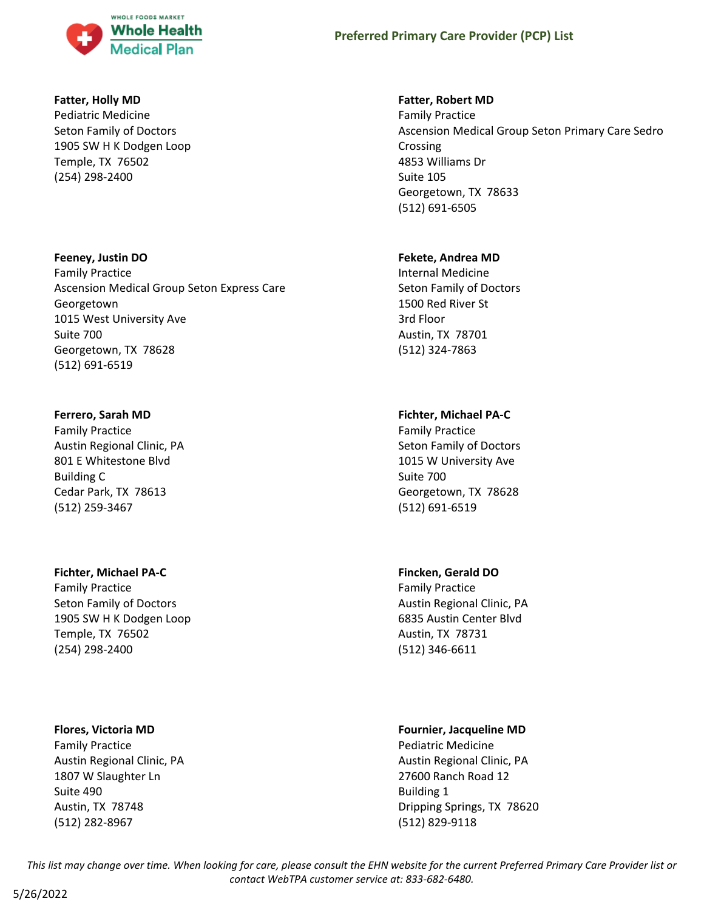

# **Fatter, Holly MD**

Pediatric Medicine Seton Family of Doctors 1905 SW H K Dodgen Loop Temple, TX 76502 (254) 298-2400

# **Feeney, Justin DO**

Family Practice Ascension Medical Group Seton Express Care Georgetown 1015 West University Ave Suite 700 Georgetown, TX 78628 (512) 691-6519

# **Ferrero, Sarah MD**

Family Practice Austin Regional Clinic, PA 801 E Whitestone Blvd Building C Cedar Park, TX 78613 (512) 259-3467

# **Fichter, Michael PA-C**

Family Practice Seton Family of Doctors 1905 SW H K Dodgen Loop Temple, TX 76502 (254) 298-2400

# **Flores, Victoria MD**

Family Practice Austin Regional Clinic, PA 1807 W Slaughter Ln Suite 490 Austin, TX 78748 (512) 282-8967

# **Fatter, Robert MD**

Family Practice Ascension Medical Group Seton Primary Care Sedro Crossing 4853 Williams Dr Suite 105 Georgetown, TX 78633 (512) 691-6505

# **Fekete, Andrea MD**

Internal Medicine Seton Family of Doctors 1500 Red River St 3rd Floor Austin, TX 78701 (512) 324-7863

# **Fichter, Michael PA-C**

Family Practice Seton Family of Doctors 1015 W University Ave Suite 700 Georgetown, TX 78628 (512) 691-6519

# **Fincken, Gerald DO**

Family Practice Austin Regional Clinic, PA 6835 Austin Center Blvd Austin, TX 78731 (512) 346-6611

# **Fournier, Jacqueline MD**

Pediatric Medicine Austin Regional Clinic, PA 27600 Ranch Road 12 Building 1 Dripping Springs, TX 78620 (512) 829-9118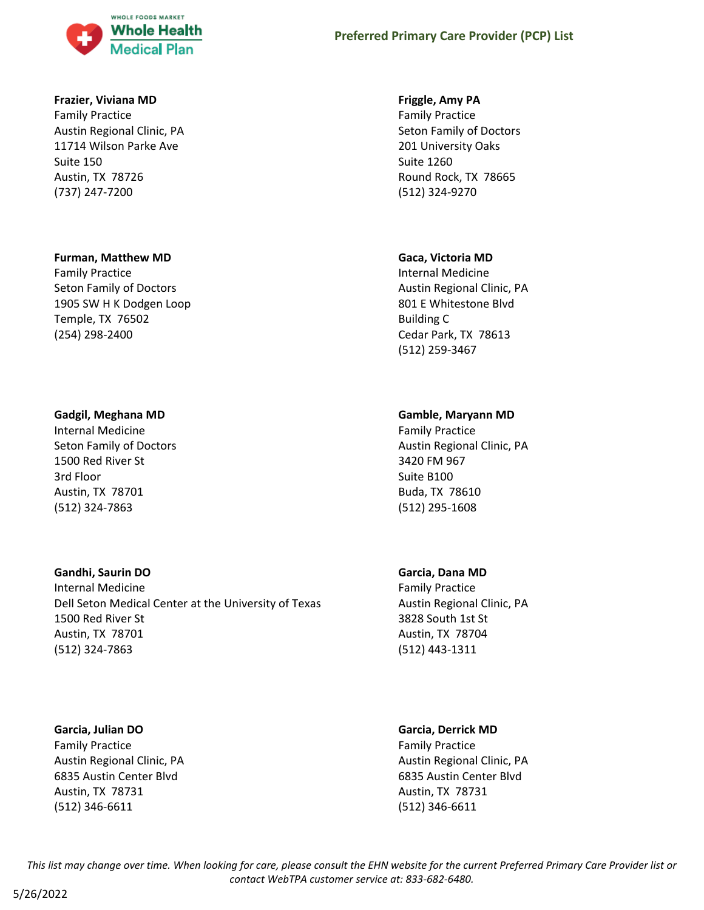

#### **Frazier, Viviana MD**

Family Practice Austin Regional Clinic, PA 11714 Wilson Parke Ave Suite 150 Austin, TX 78726 (737) 247-7200

#### **Furman, Matthew MD**

Family Practice Seton Family of Doctors 1905 SW H K Dodgen Loop Temple, TX 76502 (254) 298-2400

#### **Gadgil, Meghana MD**

Internal Medicine Seton Family of Doctors 1500 Red River St 3rd Floor Austin, TX 78701 (512) 324-7863

# **Gandhi, Saurin DO**

Internal Medicine Dell Seton Medical Center at the University of Texas 1500 Red River St Austin, TX 78701 (512) 324-7863

#### **Garcia, Julian DO**

Family Practice Austin Regional Clinic, PA 6835 Austin Center Blvd Austin, TX 78731 (512) 346-6611

### **Friggle, Amy PA**

Family Practice Seton Family of Doctors 201 University Oaks Suite 1260 Round Rock, TX 78665 (512) 324-9270

#### **Gaca, Victoria MD**

Internal Medicine Austin Regional Clinic, PA 801 E Whitestone Blvd Building C Cedar Park, TX 78613 (512) 259-3467

# **Gamble, Maryann MD**

Family Practice Austin Regional Clinic, PA 3420 FM 967 Suite B100 Buda, TX 78610 (512) 295-1608

#### **Garcia, Dana MD**

Family Practice Austin Regional Clinic, PA 3828 South 1st St Austin, TX 78704 (512) 443-1311

#### **Garcia, Derrick MD**

Family Practice Austin Regional Clinic, PA 6835 Austin Center Blvd Austin, TX 78731 (512) 346-6611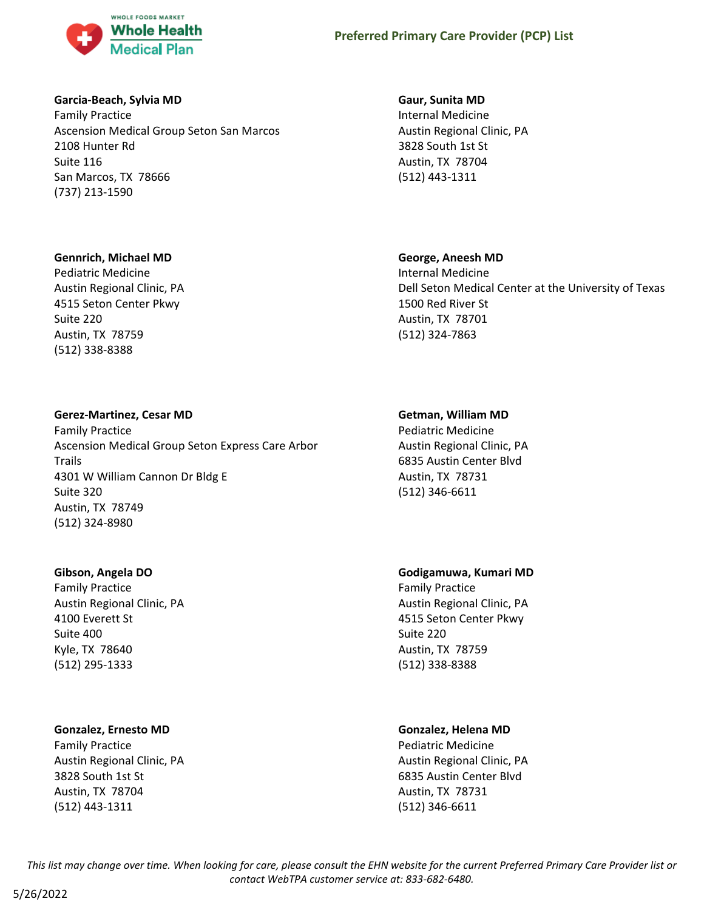

# **Garcia-Beach, Sylvia MD**

Family Practice Ascension Medical Group Seton San Marcos 2108 Hunter Rd Suite 116 San Marcos, TX 78666 (737) 213-1590

# **Gennrich, Michael MD**

Pediatric Medicine Austin Regional Clinic, PA 4515 Seton Center Pkwy Suite 220 Austin, TX 78759 (512) 338-8388

# **Gerez-Martinez, Cesar MD**

Family Practice Ascension Medical Group Seton Express Care Arbor Trails 4301 W William Cannon Dr Bldg E Suite 320 Austin, TX 78749 (512) 324-8980

# **Gibson, Angela DO**

Family Practice Austin Regional Clinic, PA 4100 Everett St Suite 400 Kyle, TX 78640 (512) 295-1333

# **Gonzalez, Ernesto MD**

Family Practice Austin Regional Clinic, PA 3828 South 1st St Austin, TX 78704 (512) 443-1311

# **Gaur, Sunita MD**

Internal Medicine Austin Regional Clinic, PA 3828 South 1st St Austin, TX 78704 (512) 443-1311

# **George, Aneesh MD**

Internal Medicine Dell Seton Medical Center at the University of Texas 1500 Red River St Austin, TX 78701 (512) 324-7863

# **Getman, William MD**

Pediatric Medicine Austin Regional Clinic, PA 6835 Austin Center Blvd Austin, TX 78731 (512) 346-6611

# **Godigamuwa, Kumari MD**

Family Practice Austin Regional Clinic, PA 4515 Seton Center Pkwy Suite 220 Austin, TX 78759 (512) 338-8388

# **Gonzalez, Helena MD**

Pediatric Medicine Austin Regional Clinic, PA 6835 Austin Center Blvd Austin, TX 78731 (512) 346-6611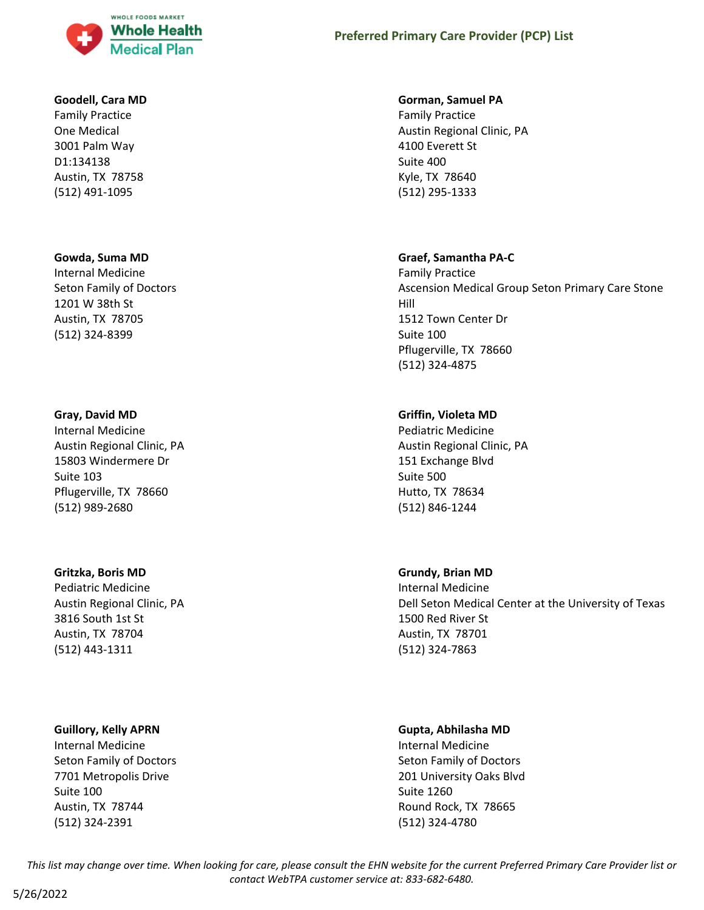

# **Goodell, Cara MD**

Family Practice One Medical 3001 Palm Way D1:134138 Austin, TX 78758 (512) 491-1095

# **Gowda, Suma MD**

Internal Medicine Seton Family of Doctors 1201 W 38th St Austin, TX 78705 (512) 324-8399

# **Gray, David MD**

Internal Medicine Austin Regional Clinic, PA 15803 Windermere Dr Suite 103 Pflugerville, TX 78660 (512) 989-2680

# **Gritzka, Boris MD**

Pediatric Medicine Austin Regional Clinic, PA 3816 South 1st St Austin, TX 78704 (512) 443-1311

# **Guillory, Kelly APRN**

Internal Medicine Seton Family of Doctors 7701 Metropolis Drive Suite 100 Austin, TX 78744 (512) 324-2391

# **Preferred Primary Care Provider (PCP) List**

# **Gorman, Samuel PA**

Family Practice Austin Regional Clinic, PA 4100 Everett St Suite 400 Kyle, TX 78640 (512) 295-1333

# **Graef, Samantha PA-C**

Family Practice Ascension Medical Group Seton Primary Care Stone Hill 1512 Town Center Dr Suite 100 Pflugerville, TX 78660 (512) 324-4875

# **Griffin, Violeta MD**

Pediatric Medicine Austin Regional Clinic, PA 151 Exchange Blvd Suite 500 Hutto, TX 78634 (512) 846-1244

# **Grundy, Brian MD**

Internal Medicine Dell Seton Medical Center at the University of Texas 1500 Red River St Austin, TX 78701 (512) 324-7863

# **Gupta, Abhilasha MD**

Internal Medicine Seton Family of Doctors 201 University Oaks Blvd Suite 1260 Round Rock, TX 78665 (512) 324-4780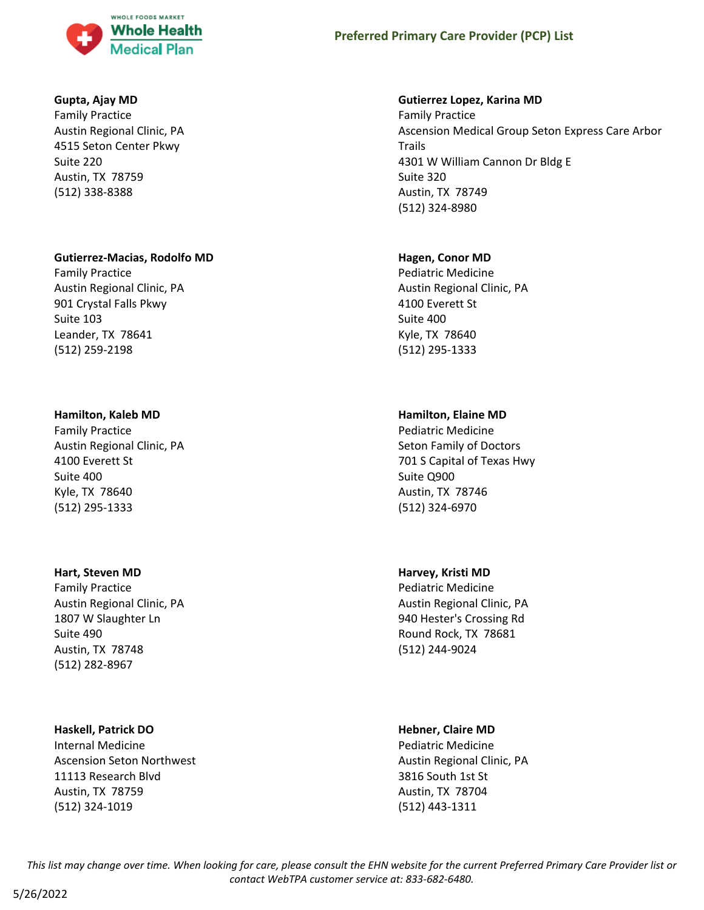

### **Gupta, Ajay MD**

Family Practice Austin Regional Clinic, PA 4515 Seton Center Pkwy Suite 220 Austin, TX 78759 (512) 338-8388

#### **Gutierrez-Macias, Rodolfo MD**

Family Practice Austin Regional Clinic, PA 901 Crystal Falls Pkwy Suite 103 Leander, TX 78641 (512) 259-2198

#### **Hamilton, Kaleb MD**

Family Practice Austin Regional Clinic, PA 4100 Everett St Suite 400 Kyle, TX 78640 (512) 295-1333

#### **Hart, Steven MD**

Family Practice Austin Regional Clinic, PA 1807 W Slaughter Ln Suite 490 Austin, TX 78748 (512) 282-8967

#### **Haskell, Patrick DO**

Internal Medicine Ascension Seton Northwest 11113 Research Blvd Austin, TX 78759 (512) 324-1019

#### **Gutierrez Lopez, Karina MD**

Family Practice Ascension Medical Group Seton Express Care Arbor Trails 4301 W William Cannon Dr Bldg E Suite 320 Austin, TX 78749 (512) 324-8980

#### **Hagen, Conor MD**

Pediatric Medicine Austin Regional Clinic, PA 4100 Everett St Suite 400 Kyle, TX 78640 (512) 295-1333

# **Hamilton, Elaine MD**

Pediatric Medicine Seton Family of Doctors 701 S Capital of Texas Hwy Suite Q900 Austin, TX 78746 (512) 324-6970

#### **Harvey, Kristi MD**

Pediatric Medicine Austin Regional Clinic, PA 940 Hester's Crossing Rd Round Rock, TX 78681 (512) 244-9024

#### **Hebner, Claire MD**

Pediatric Medicine Austin Regional Clinic, PA 3816 South 1st St Austin, TX 78704 (512) 443-1311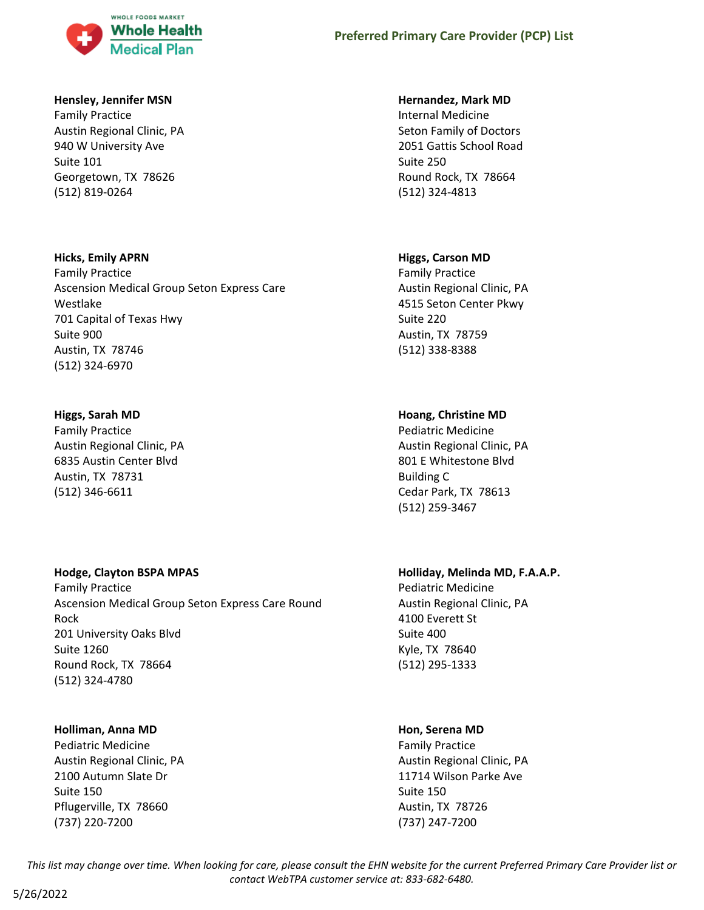

# **Hensley, Jennifer MSN**

Family Practice Austin Regional Clinic, PA 940 W University Ave Suite 101 Georgetown, TX 78626 (512) 819-0264

# **Hicks, Emily APRN**

Family Practice Ascension Medical Group Seton Express Care Westlake 701 Capital of Texas Hwy Suite 900 Austin, TX 78746 (512) 324-6970

# **Higgs, Sarah MD**

Family Practice Austin Regional Clinic, PA 6835 Austin Center Blvd Austin, TX 78731 (512) 346-6611

# **Hodge, Clayton BSPA MPAS**

Family Practice Ascension Medical Group Seton Express Care Round Rock 201 University Oaks Blvd Suite 1260 Round Rock, TX 78664 (512) 324-4780

# **Holliman, Anna MD**

Pediatric Medicine Austin Regional Clinic, PA 2100 Autumn Slate Dr Suite 150 Pflugerville, TX 78660 (737) 220-7200

# **Hernandez, Mark MD**

Internal Medicine Seton Family of Doctors 2051 Gattis School Road Suite 250 Round Rock, TX 78664 (512) 324-4813

# **Higgs, Carson MD**

Family Practice Austin Regional Clinic, PA 4515 Seton Center Pkwy Suite 220 Austin, TX 78759 (512) 338-8388

# **Hoang, Christine MD**

Pediatric Medicine Austin Regional Clinic, PA 801 E Whitestone Blvd Building C Cedar Park, TX 78613 (512) 259-3467

# **Holliday, Melinda MD, F.A.A.P.**

Pediatric Medicine Austin Regional Clinic, PA 4100 Everett St Suite 400 Kyle, TX 78640 (512) 295-1333

# **Hon, Serena MD**

Family Practice Austin Regional Clinic, PA 11714 Wilson Parke Ave Suite 150 Austin, TX 78726 (737) 247-7200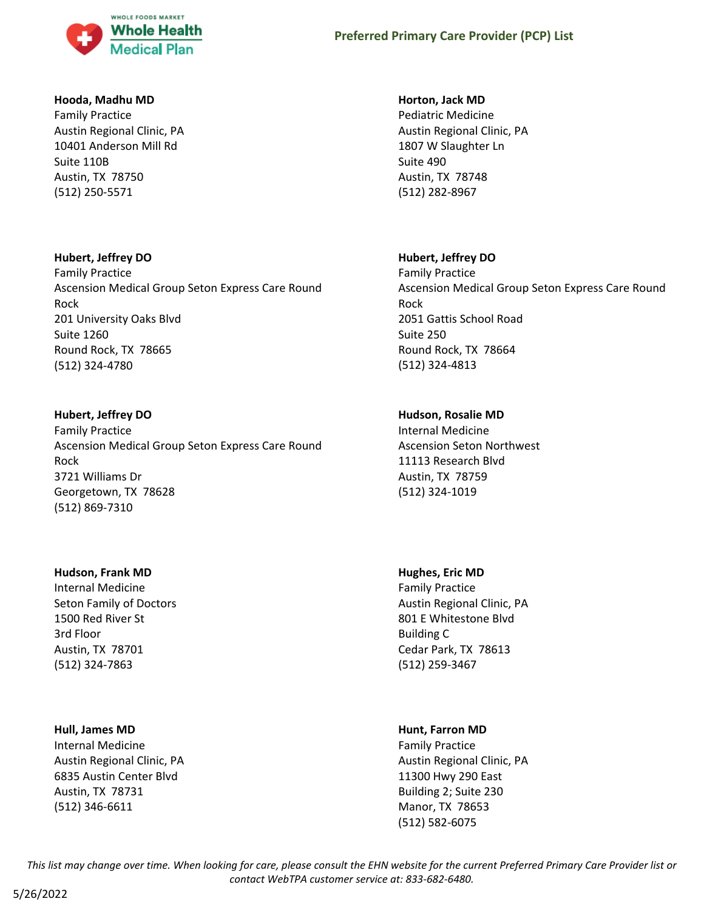

# **Hooda, Madhu MD**

Family Practice Austin Regional Clinic, PA 10401 Anderson Mill Rd Suite 110B Austin, TX 78750 (512) 250-5571

# **Hubert, Jeffrey DO**

Family Practice Ascension Medical Group Seton Express Care Round Rock 201 University Oaks Blvd Suite 1260 Round Rock, TX 78665 (512) 324-4780

#### **Hubert, Jeffrey DO**

Family Practice Ascension Medical Group Seton Express Care Round Rock 3721 Williams Dr Georgetown, TX 78628 (512) 869-7310

#### **Hudson, Frank MD**

Internal Medicine Seton Family of Doctors 1500 Red River St 3rd Floor Austin, TX 78701 (512) 324-7863

#### **Hull, James MD**

Internal Medicine Austin Regional Clinic, PA 6835 Austin Center Blvd Austin, TX 78731 (512) 346-6611

### **Horton, Jack MD**

Pediatric Medicine Austin Regional Clinic, PA 1807 W Slaughter Ln Suite 490 Austin, TX 78748 (512) 282-8967

# **Hubert, Jeffrey DO**

Family Practice Ascension Medical Group Seton Express Care Round Rock 2051 Gattis School Road Suite 250 Round Rock, TX 78664 (512) 324-4813

# **Hudson, Rosalie MD**

Internal Medicine Ascension Seton Northwest 11113 Research Blvd Austin, TX 78759 (512) 324-1019

#### **Hughes, Eric MD**

Family Practice Austin Regional Clinic, PA 801 E Whitestone Blvd Building C Cedar Park, TX 78613 (512) 259-3467

# **Hunt, Farron MD**

Family Practice Austin Regional Clinic, PA 11300 Hwy 290 East Building 2; Suite 230 Manor, TX 78653 (512) 582-6075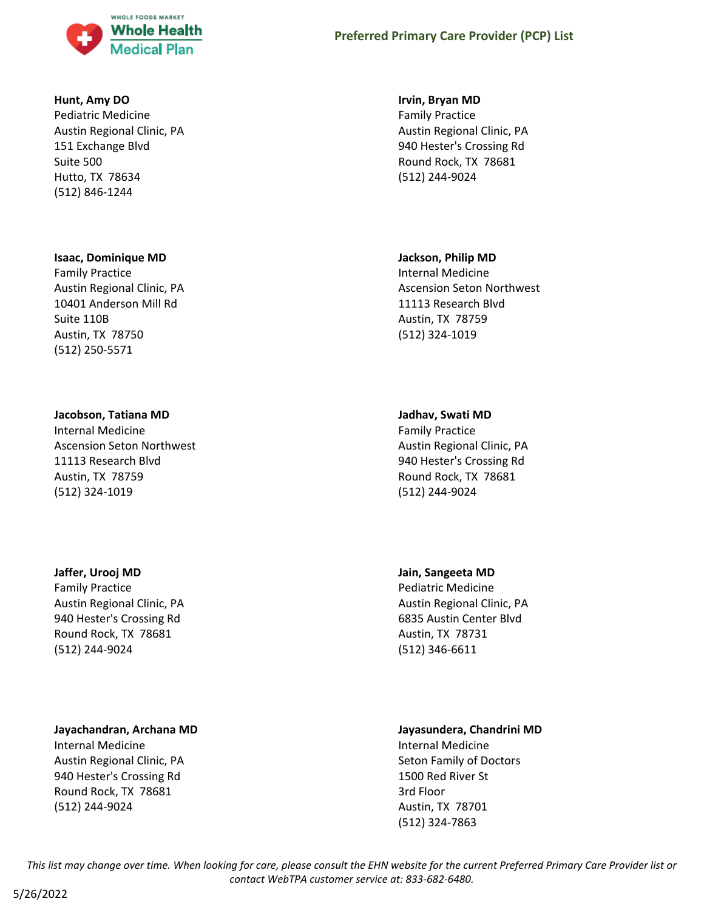

### **Hunt, Amy DO**

Pediatric Medicine Austin Regional Clinic, PA 151 Exchange Blvd Suite 500 Hutto, TX 78634 (512) 846-1244

#### **Isaac, Dominique MD**

Family Practice Austin Regional Clinic, PA 10401 Anderson Mill Rd Suite 110B Austin, TX 78750 (512) 250-5571

# **Jacobson, Tatiana MD**

Internal Medicine Ascension Seton Northwest 11113 Research Blvd Austin, TX 78759 (512) 324-1019

#### **Jaffer, Urooj MD**

Family Practice Austin Regional Clinic, PA 940 Hester's Crossing Rd Round Rock, TX 78681 (512) 244-9024

# **Jayachandran, Archana MD**

Internal Medicine Austin Regional Clinic, PA 940 Hester's Crossing Rd Round Rock, TX 78681 (512) 244-9024

#### **Irvin, Bryan MD**

Family Practice Austin Regional Clinic, PA 940 Hester's Crossing Rd Round Rock, TX 78681 (512) 244-9024

#### **Jackson, Philip MD**

Internal Medicine Ascension Seton Northwest 11113 Research Blvd Austin, TX 78759 (512) 324-1019

#### **Jadhav, Swati MD**

Family Practice Austin Regional Clinic, PA 940 Hester's Crossing Rd Round Rock, TX 78681 (512) 244-9024

#### **Jain, Sangeeta MD**

Pediatric Medicine Austin Regional Clinic, PA 6835 Austin Center Blvd Austin, TX 78731 (512) 346-6611

# **Jayasundera, Chandrini MD**

Internal Medicine Seton Family of Doctors 1500 Red River St 3rd Floor Austin, TX 78701 (512) 324-7863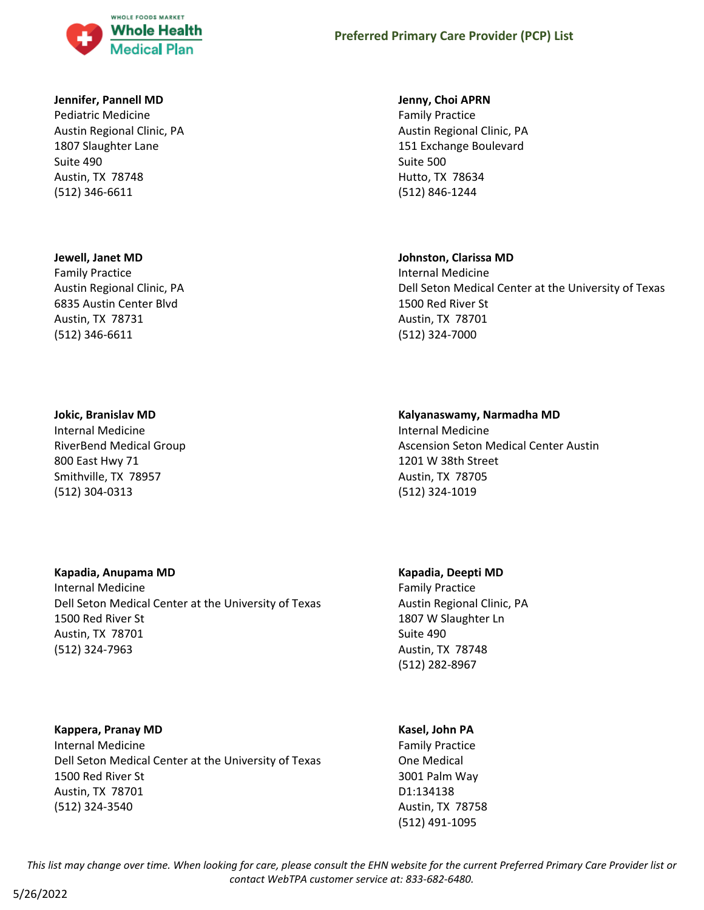

# **Jennifer, Pannell MD**

Pediatric Medicine Austin Regional Clinic, PA 1807 Slaughter Lane Suite 490 Austin, TX 78748 (512) 346-6611

#### **Jewell, Janet MD**

Family Practice Austin Regional Clinic, PA 6835 Austin Center Blvd Austin, TX 78731 (512) 346-6611

#### **Jokic, Branislav MD**

Internal Medicine RiverBend Medical Group 800 East Hwy 71 Smithville, TX 78957 (512) 304-0313

# **Kapadia, Anupama MD**

Internal Medicine Dell Seton Medical Center at the University of Texas 1500 Red River St Austin, TX 78701 (512) 324-7963

# **Kappera, Pranay MD**

Internal Medicine Dell Seton Medical Center at the University of Texas 1500 Red River St Austin, TX 78701 (512) 324-3540

#### **Jenny, Choi APRN**

Family Practice Austin Regional Clinic, PA 151 Exchange Boulevard Suite 500 Hutto, TX 78634 (512) 846-1244

#### **Johnston, Clarissa MD**

Internal Medicine Dell Seton Medical Center at the University of Texas 1500 Red River St Austin, TX 78701 (512) 324-7000

#### **Kalyanaswamy, Narmadha MD**

Internal Medicine Ascension Seton Medical Center Austin 1201 W 38th Street Austin, TX 78705 (512) 324-1019

# **Kapadia, Deepti MD**

Family Practice Austin Regional Clinic, PA 1807 W Slaughter Ln Suite 490 Austin, TX 78748 (512) 282-8967

# **Kasel, John PA**

Family Practice One Medical 3001 Palm Way D1:134138 Austin, TX 78758 (512) 491-1095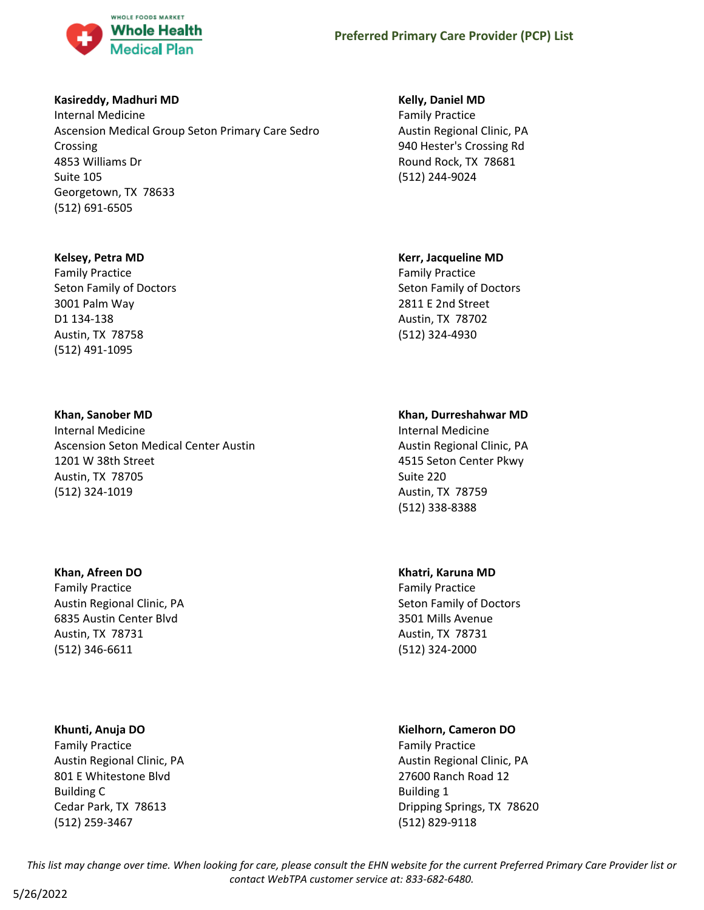

# **Kasireddy, Madhuri MD**

Internal Medicine Ascension Medical Group Seton Primary Care Sedro Crossing 4853 Williams Dr Suite 105 Georgetown, TX 78633 (512) 691-6505

# **Kelsey, Petra MD**

Family Practice Seton Family of Doctors 3001 Palm Way D1 134-138 Austin, TX 78758 (512) 491-1095

# **Khan, Sanober MD**

Internal Medicine Ascension Seton Medical Center Austin 1201 W 38th Street Austin, TX 78705 (512) 324-1019

# **Khan, Afreen DO**

Family Practice Austin Regional Clinic, PA 6835 Austin Center Blvd Austin, TX 78731 (512) 346-6611

# **Khunti, Anuja DO**

Family Practice Austin Regional Clinic, PA 801 E Whitestone Blvd Building C Cedar Park, TX 78613 (512) 259-3467

# **Kelly, Daniel MD**

Family Practice Austin Regional Clinic, PA 940 Hester's Crossing Rd Round Rock, TX 78681 (512) 244-9024

# **Kerr, Jacqueline MD**

Family Practice Seton Family of Doctors 2811 E 2nd Street Austin, TX 78702 (512) 324-4930

# **Khan, Durreshahwar MD**

Internal Medicine Austin Regional Clinic, PA 4515 Seton Center Pkwy Suite 220 Austin, TX 78759 (512) 338-8388

# **Khatri, Karuna MD**

Family Practice Seton Family of Doctors 3501 Mills Avenue Austin, TX 78731 (512) 324-2000

# **Kielhorn, Cameron DO**

Family Practice Austin Regional Clinic, PA 27600 Ranch Road 12 Building 1 Dripping Springs, TX 78620 (512) 829-9118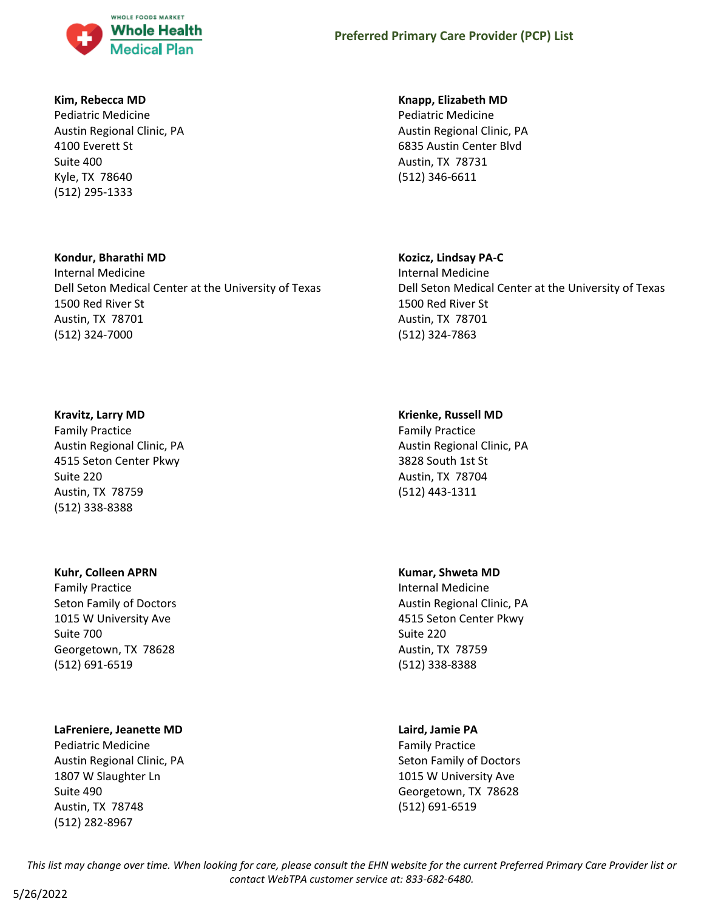

### **Kim, Rebecca MD**

Pediatric Medicine Austin Regional Clinic, PA 4100 Everett St Suite 400 Kyle, TX 78640 (512) 295-1333

# **Kondur, Bharathi MD**

Internal Medicine Dell Seton Medical Center at the University of Texas 1500 Red River St Austin, TX 78701 (512) 324-7000

#### **Kravitz, Larry MD**

Family Practice Austin Regional Clinic, PA 4515 Seton Center Pkwy Suite 220 Austin, TX 78759 (512) 338-8388

#### **Kuhr, Colleen APRN**

Family Practice Seton Family of Doctors 1015 W University Ave Suite 700 Georgetown, TX 78628 (512) 691-6519

# **LaFreniere, Jeanette MD**

Pediatric Medicine Austin Regional Clinic, PA 1807 W Slaughter Ln Suite 490 Austin, TX 78748 (512) 282-8967

#### **Knapp, Elizabeth MD**

Pediatric Medicine Austin Regional Clinic, PA 6835 Austin Center Blvd Austin, TX 78731 (512) 346-6611

# **Kozicz, Lindsay PA-C**

Internal Medicine Dell Seton Medical Center at the University of Texas 1500 Red River St Austin, TX 78701 (512) 324-7863

# **Krienke, Russell MD**

Family Practice Austin Regional Clinic, PA 3828 South 1st St Austin, TX 78704 (512) 443-1311

#### **Kumar, Shweta MD**

Internal Medicine Austin Regional Clinic, PA 4515 Seton Center Pkwy Suite 220 Austin, TX 78759 (512) 338-8388

# **Laird, Jamie PA**

Family Practice Seton Family of Doctors 1015 W University Ave Georgetown, TX 78628 (512) 691-6519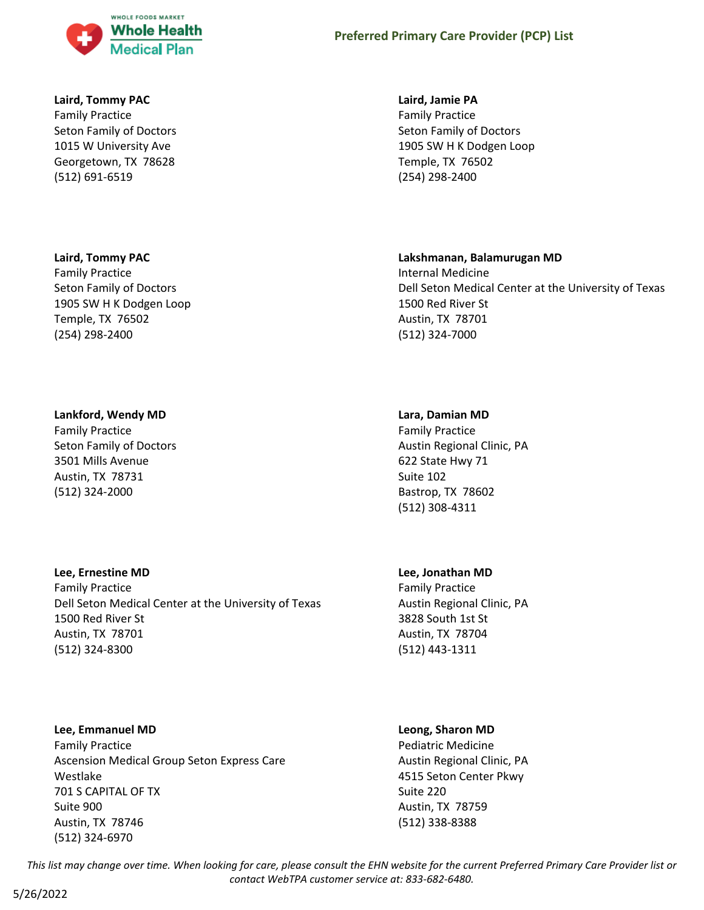

### **Laird, Tommy PAC**

Family Practice Seton Family of Doctors 1015 W University Ave Georgetown, TX 78628 (512) 691-6519

#### **Laird, Tommy PAC**

Family Practice Seton Family of Doctors 1905 SW H K Dodgen Loop Temple, TX 76502 (254) 298-2400

#### **Lankford, Wendy MD**

Family Practice Seton Family of Doctors 3501 Mills Avenue Austin, TX 78731 (512) 324-2000

# **Lee, Ernestine MD**

Family Practice Dell Seton Medical Center at the University of Texas 1500 Red River St Austin, TX 78701 (512) 324-8300

**Lee, Emmanuel MD** Family Practice Ascension Medical Group Seton Express Care Westlake 701 S CAPITAL OF TX Suite 900 Austin, TX 78746 (512) 324-6970

#### **Laird, Jamie PA**

Family Practice Seton Family of Doctors 1905 SW H K Dodgen Loop Temple, TX 76502 (254) 298-2400

#### **Lakshmanan, Balamurugan MD**

Internal Medicine Dell Seton Medical Center at the University of Texas 1500 Red River St Austin, TX 78701 (512) 324-7000

#### **Lara, Damian MD**

Family Practice Austin Regional Clinic, PA 622 State Hwy 71 Suite 102 Bastrop, TX 78602 (512) 308-4311

#### **Lee, Jonathan MD**

Family Practice Austin Regional Clinic, PA 3828 South 1st St Austin, TX 78704 (512) 443-1311

#### **Leong, Sharon MD**

Pediatric Medicine Austin Regional Clinic, PA 4515 Seton Center Pkwy Suite 220 Austin, TX 78759 (512) 338-8388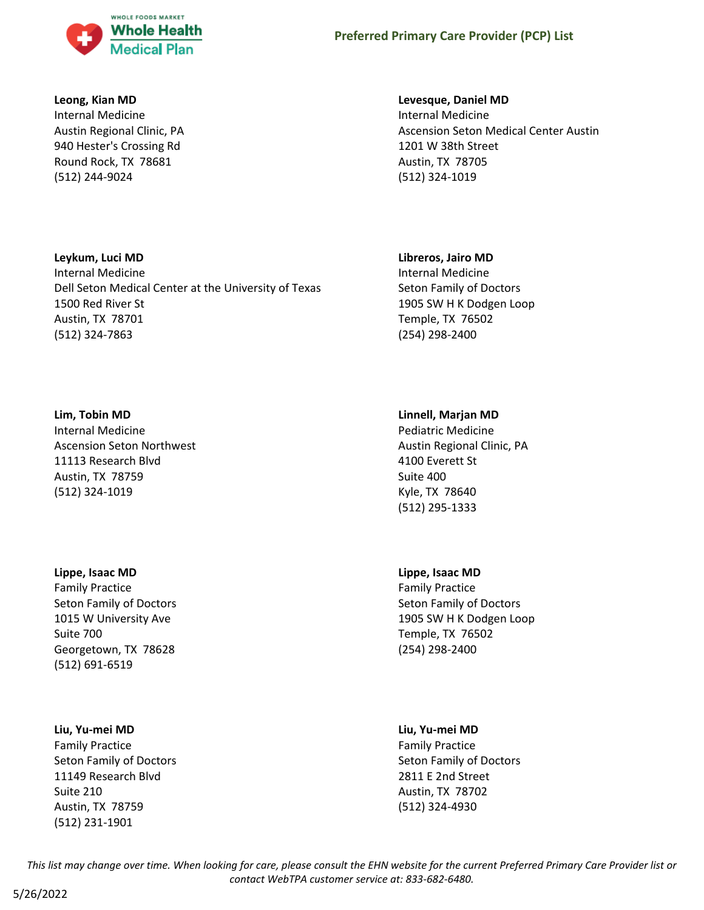

### **Leong, Kian MD**

**Leykum, Luci MD** Internal Medicine

1500 Red River St Austin, TX 78701 (512) 324-7863

Dell Seton Medical Center at the University of Texas

Internal Medicine Austin Regional Clinic, PA 940 Hester's Crossing Rd Round Rock, TX 78681 (512) 244-9024

# **Levesque, Daniel MD**

Internal Medicine Ascension Seton Medical Center Austin 1201 W 38th Street Austin, TX 78705 (512) 324-1019

# **Libreros, Jairo MD**

Internal Medicine Seton Family of Doctors 1905 SW H K Dodgen Loop Temple, TX 76502 (254) 298-2400

# **Lim, Tobin MD**

Internal Medicine Ascension Seton Northwest 11113 Research Blvd Austin, TX 78759 (512) 324-1019

#### **Lippe, Isaac MD**

Family Practice Seton Family of Doctors 1015 W University Ave Suite 700 Georgetown, TX 78628 (512) 691-6519

# **Liu, Yu-mei MD**

Family Practice Seton Family of Doctors 11149 Research Blvd Suite 210 Austin, TX 78759 (512) 231-1901

#### **Linnell, Marjan MD**

Pediatric Medicine Austin Regional Clinic, PA 4100 Everett St Suite 400 Kyle, TX 78640 (512) 295-1333

# **Lippe, Isaac MD**

Family Practice Seton Family of Doctors 1905 SW H K Dodgen Loop Temple, TX 76502 (254) 298-2400

#### **Liu, Yu-mei MD**

Family Practice Seton Family of Doctors 2811 E 2nd Street Austin, TX 78702 (512) 324-4930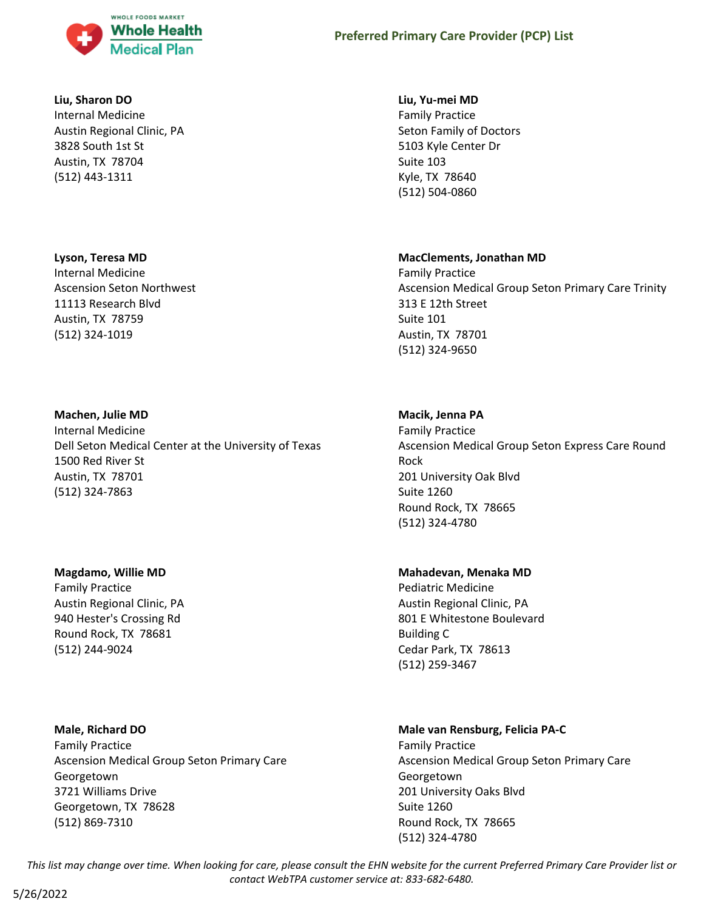

#### **Liu, Sharon DO**

Internal Medicine Austin Regional Clinic, PA 3828 South 1st St Austin, TX 78704 (512) 443-1311

# **Lyson, Teresa MD**

Internal Medicine Ascension Seton Northwest 11113 Research Blvd Austin, TX 78759 (512) 324-1019

#### **Machen, Julie MD**

Internal Medicine Dell Seton Medical Center at the University of Texas 1500 Red River St Austin, TX 78701 (512) 324-7863

#### **Magdamo, Willie MD**

Family Practice Austin Regional Clinic, PA 940 Hester's Crossing Rd Round Rock, TX 78681 (512) 244-9024

**Male, Richard DO** Family Practice Ascension Medical Group Seton Primary Care Georgetown 3721 Williams Drive Georgetown, TX 78628 (512) 869-7310

#### **Liu, Yu-mei MD**

Family Practice Seton Family of Doctors 5103 Kyle Center Dr Suite 103 Kyle, TX 78640 (512) 504-0860

#### **MacClements, Jonathan MD**

Family Practice Ascension Medical Group Seton Primary Care Trinity 313 E 12th Street Suite 101 Austin, TX 78701 (512) 324-9650

#### **Macik, Jenna PA**

Family Practice Ascension Medical Group Seton Express Care Round Rock 201 University Oak Blvd Suite 1260 Round Rock, TX 78665 (512) 324-4780

# **Mahadevan, Menaka MD**

Pediatric Medicine Austin Regional Clinic, PA 801 E Whitestone Boulevard Building C Cedar Park, TX 78613 (512) 259-3467

# **Male van Rensburg, Felicia PA-C**

Family Practice Ascension Medical Group Seton Primary Care **Georgetown** 201 University Oaks Blvd Suite 1260 Round Rock, TX 78665 (512) 324-4780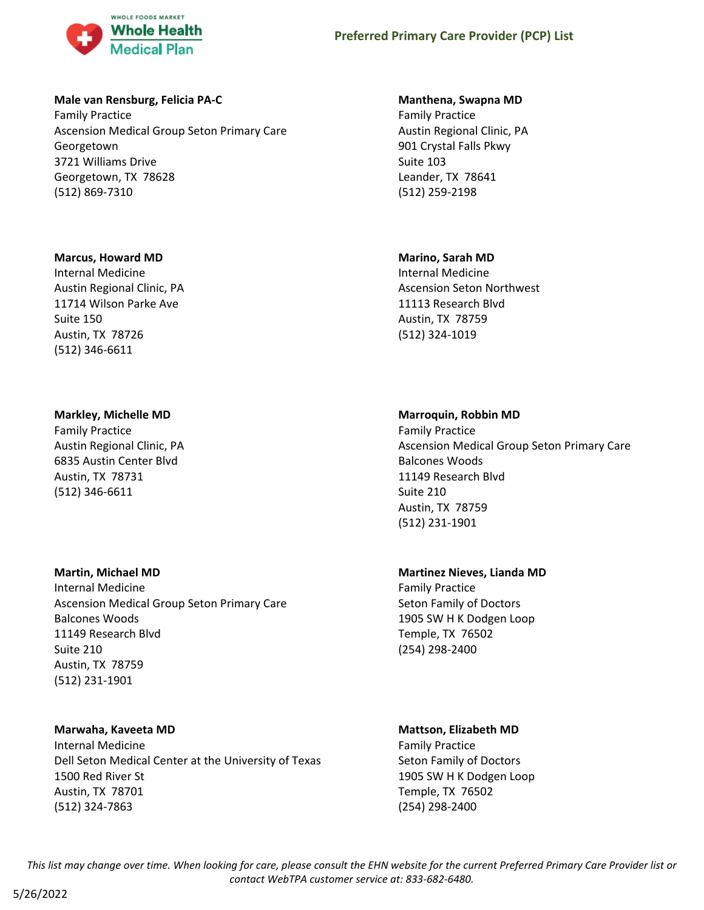

### **Male van Rensburg, Felicia PA-C**

Family Practice Ascension Medical Group Seton Primary Care Georgetown 3721 Williams Drive Georgetown, TX 78628 (512) 869-7310

# **Marcus, Howard MD**

Internal Medicine Austin Regional Clinic, PA 11714 Wilson Parke Ave Suite 150 Austin, TX 78726 (512) 346-6611

# **Markley, Michelle MD**

Family Practice Austin Regional Clinic, PA 6835 Austin Center Blvd Austin, TX 78731 (512) 346-6611

# **Martin, Michael MD**

Internal Medicine Ascension Medical Group Seton Primary Care Balcones Woods 11149 Research Blvd Suite 210 Austin, TX 78759 (512) 231-1901

# **Marwaha, Kaveeta MD**

Internal Medicine Dell Seton Medical Center at the University of Texas 1500 Red River St Austin, TX 78701 (512) 324-7863

# **Manthena, Swapna MD**

Family Practice Austin Regional Clinic, PA 901 Crystal Falls Pkwy Suite 103 Leander, TX 78641 (512) 259-2198

# **Marino, Sarah MD**

Internal Medicine Ascension Seton Northwest 11113 Research Blvd Austin, TX 78759 (512) 324-1019

# **Marroquin, Robbin MD**

Family Practice Ascension Medical Group Seton Primary Care Balcones Woods 11149 Research Blvd Suite 210 Austin, TX 78759 (512) 231-1901

# **Martinez Nieves, Lianda MD**

Family Practice Seton Family of Doctors 1905 SW H K Dodgen Loop Temple, TX 76502 (254) 298-2400

# **Mattson, Elizabeth MD**

Family Practice Seton Family of Doctors 1905 SW H K Dodgen Loop Temple, TX 76502 (254) 298-2400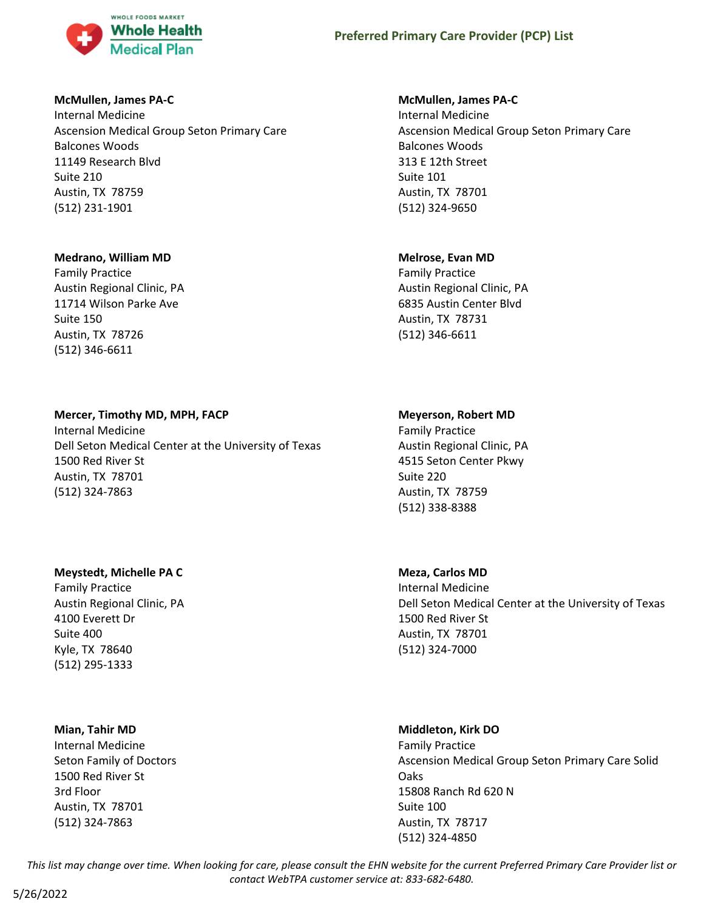

### **McMullen, James PA-C**

Internal Medicine Ascension Medical Group Seton Primary Care Balcones Woods 11149 Research Blvd Suite 210 Austin, TX 78759 (512) 231-1901

### **Medrano, William MD**

Family Practice Austin Regional Clinic, PA 11714 Wilson Parke Ave Suite 150 Austin, TX 78726 (512) 346-6611

# **Mercer, Timothy MD, MPH, FACP**

Internal Medicine Dell Seton Medical Center at the University of Texas 1500 Red River St Austin, TX 78701 (512) 324-7863

# **Meystedt, Michelle PA C**

Family Practice Austin Regional Clinic, PA 4100 Everett Dr Suite 400 Kyle, TX 78640 (512) 295-1333

#### **Mian, Tahir MD**

Internal Medicine Seton Family of Doctors 1500 Red River St 3rd Floor Austin, TX 78701 (512) 324-7863

#### **McMullen, James PA-C**

Internal Medicine Ascension Medical Group Seton Primary Care Balcones Woods 313 E 12th Street Suite 101 Austin, TX 78701 (512) 324-9650

#### **Melrose, Evan MD**

Family Practice Austin Regional Clinic, PA 6835 Austin Center Blvd Austin, TX 78731 (512) 346-6611

#### **Meyerson, Robert MD**

Family Practice Austin Regional Clinic, PA 4515 Seton Center Pkwy Suite 220 Austin, TX 78759 (512) 338-8388

#### **Meza, Carlos MD**

Internal Medicine Dell Seton Medical Center at the University of Texas 1500 Red River St Austin, TX 78701 (512) 324-7000

# **Middleton, Kirk DO**

Family Practice Ascension Medical Group Seton Primary Care Solid Oaks 15808 Ranch Rd 620 N Suite 100 Austin, TX 78717 (512) 324-4850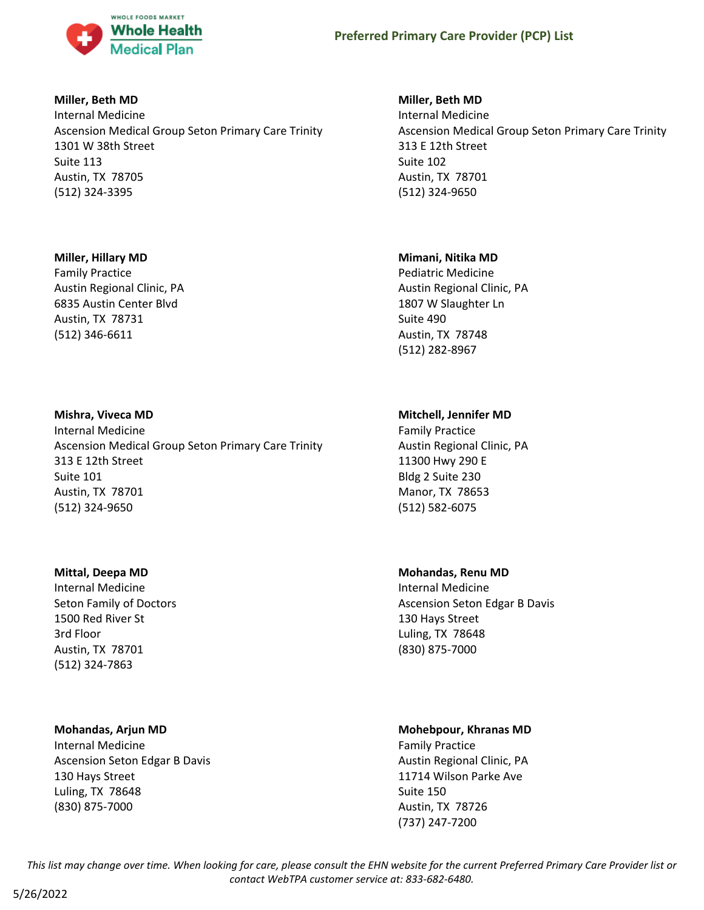

# **Miller, Beth MD**

Internal Medicine Ascension Medical Group Seton Primary Care Trinity 1301 W 38th Street Suite 113 Austin, TX 78705 (512) 324-3395

# **Miller, Hillary MD**

Family Practice Austin Regional Clinic, PA 6835 Austin Center Blvd Austin, TX 78731 (512) 346-6611

#### **Mishra, Viveca MD**

Internal Medicine Ascension Medical Group Seton Primary Care Trinity 313 E 12th Street Suite 101 Austin, TX 78701 (512) 324-9650

#### **Mittal, Deepa MD**

Internal Medicine Seton Family of Doctors 1500 Red River St 3rd Floor Austin, TX 78701 (512) 324-7863

# **Mohandas, Arjun MD**

Internal Medicine Ascension Seton Edgar B Davis 130 Hays Street Luling, TX 78648 (830) 875-7000

# **Miller, Beth MD**

Internal Medicine Ascension Medical Group Seton Primary Care Trinity 313 E 12th Street Suite 102 Austin, TX 78701 (512) 324-9650

#### **Mimani, Nitika MD**

Pediatric Medicine Austin Regional Clinic, PA 1807 W Slaughter Ln Suite 490 Austin, TX 78748 (512) 282-8967

# **Mitchell, Jennifer MD**

Family Practice Austin Regional Clinic, PA 11300 Hwy 290 E Bldg 2 Suite 230 Manor, TX 78653 (512) 582-6075

# **Mohandas, Renu MD**

Internal Medicine Ascension Seton Edgar B Davis 130 Hays Street Luling, TX 78648 (830) 875-7000

# **Mohebpour, Khranas MD**

Family Practice Austin Regional Clinic, PA 11714 Wilson Parke Ave Suite 150 Austin, TX 78726 (737) 247-7200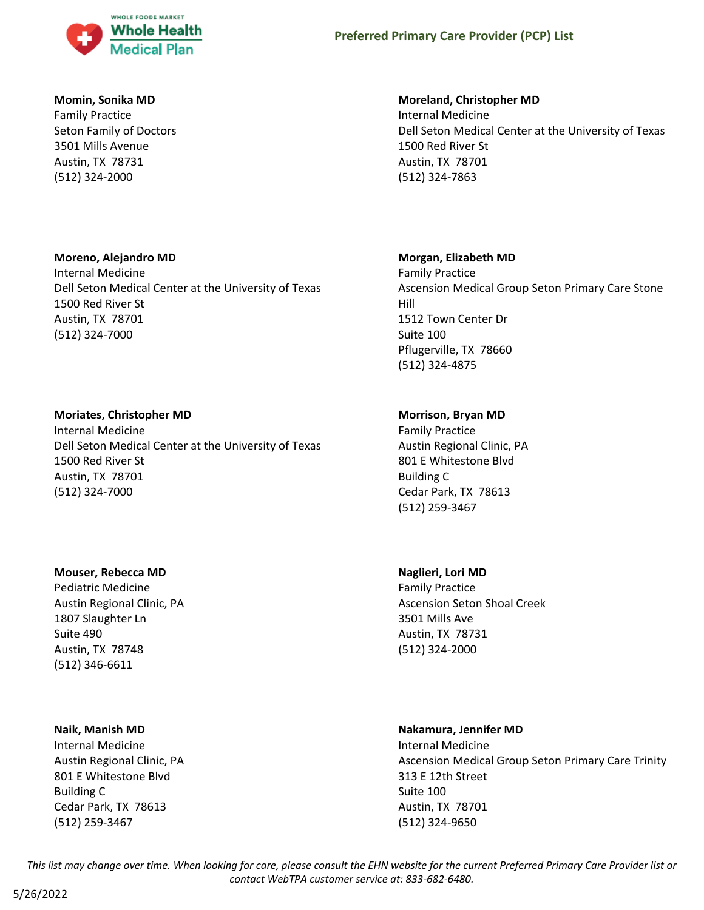

# **Momin, Sonika MD**

Family Practice Seton Family of Doctors 3501 Mills Avenue Austin, TX 78731 (512) 324-2000

# **Moreno, Alejandro MD**

Internal Medicine Dell Seton Medical Center at the University of Texas 1500 Red River St Austin, TX 78701 (512) 324-7000

# **Moriates, Christopher MD**

Internal Medicine Dell Seton Medical Center at the University of Texas 1500 Red River St Austin, TX 78701 (512) 324-7000

# **Mouser, Rebecca MD**

Pediatric Medicine Austin Regional Clinic, PA 1807 Slaughter Ln Suite 490 Austin, TX 78748 (512) 346-6611

# **Naik, Manish MD**

Internal Medicine Austin Regional Clinic, PA 801 E Whitestone Blvd Building C Cedar Park, TX 78613 (512) 259-3467

# **Moreland, Christopher MD**

Internal Medicine Dell Seton Medical Center at the University of Texas 1500 Red River St Austin, TX 78701 (512) 324-7863

# **Morgan, Elizabeth MD**

Family Practice Ascension Medical Group Seton Primary Care Stone Hill 1512 Town Center Dr Suite 100 Pflugerville, TX 78660 (512) 324-4875

# **Morrison, Bryan MD**

Family Practice Austin Regional Clinic, PA 801 E Whitestone Blvd Building C Cedar Park, TX 78613 (512) 259-3467

# **Naglieri, Lori MD**

Family Practice Ascension Seton Shoal Creek 3501 Mills Ave Austin, TX 78731 (512) 324-2000

# **Nakamura, Jennifer MD**

Internal Medicine Ascension Medical Group Seton Primary Care Trinity 313 E 12th Street Suite 100 Austin, TX 78701 (512) 324-9650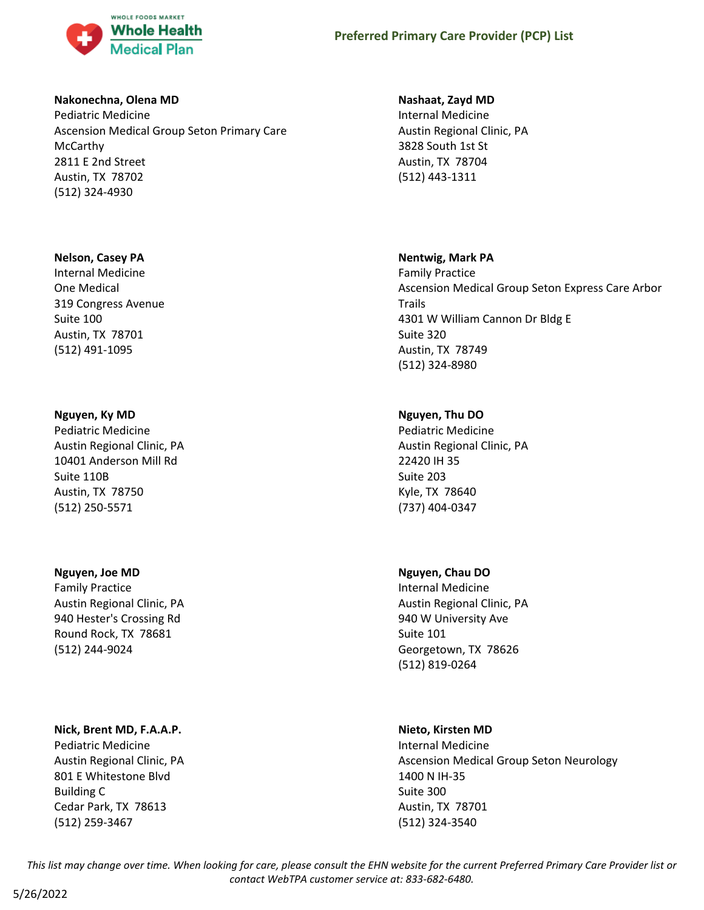

# **Nakonechna, Olena MD**

Pediatric Medicine Ascension Medical Group Seton Primary Care McCarthy 2811 E 2nd Street Austin, TX 78702 (512) 324-4930

# **Nelson, Casey PA**

Internal Medicine One Medical 319 Congress Avenue Suite 100 Austin, TX 78701 (512) 491-1095

# **Nguyen, Ky MD**

Pediatric Medicine Austin Regional Clinic, PA 10401 Anderson Mill Rd Suite 110B Austin, TX 78750 (512) 250-5571

# **Nguyen, Joe MD**

Family Practice Austin Regional Clinic, PA 940 Hester's Crossing Rd Round Rock, TX 78681 (512) 244-9024

# **Nick, Brent MD, F.A.A.P.**

Pediatric Medicine Austin Regional Clinic, PA 801 E Whitestone Blvd Building C Cedar Park, TX 78613 (512) 259-3467

# **Nashaat, Zayd MD**

Internal Medicine Austin Regional Clinic, PA 3828 South 1st St Austin, TX 78704 (512) 443-1311

# **Nentwig, Mark PA**

Family Practice Ascension Medical Group Seton Express Care Arbor Trails 4301 W William Cannon Dr Bldg E Suite 320 Austin, TX 78749 (512) 324-8980

# **Nguyen, Thu DO**

Pediatric Medicine Austin Regional Clinic, PA 22420 IH 35 Suite 203 Kyle, TX 78640 (737) 404-0347

# **Nguyen, Chau DO**

Internal Medicine Austin Regional Clinic, PA 940 W University Ave Suite 101 Georgetown, TX 78626 (512) 819-0264

# **Nieto, Kirsten MD**

Internal Medicine Ascension Medical Group Seton Neurology 1400 N IH-35 Suite 300 Austin, TX 78701 (512) 324-3540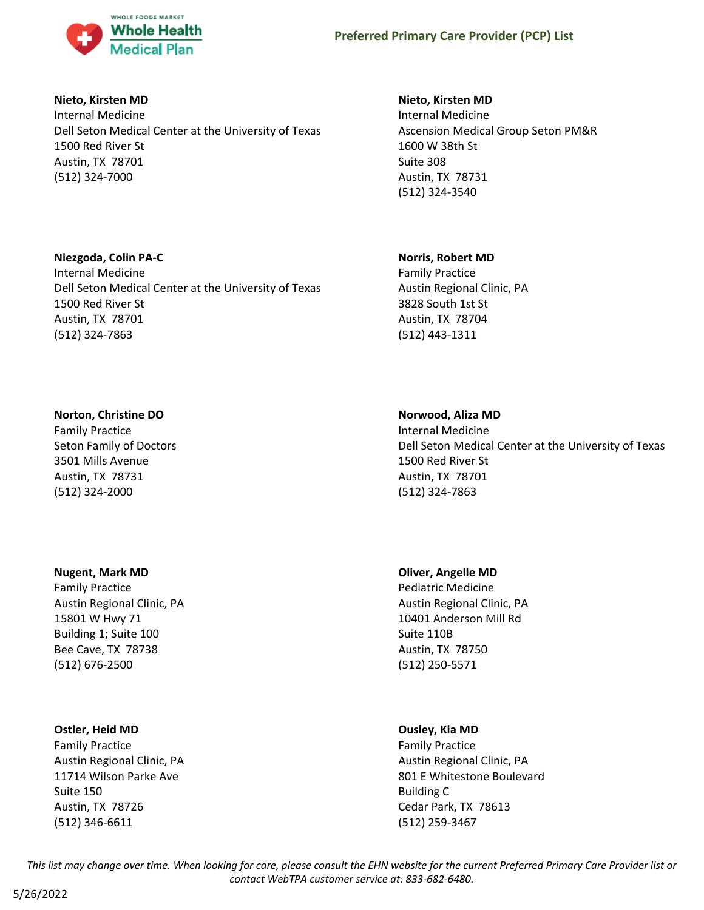

# **Nieto, Kirsten MD**

Internal Medicine Dell Seton Medical Center at the University of Texas 1500 Red River St Austin, TX 78701 (512) 324-7000

Dell Seton Medical Center at the University of Texas

# **Nieto, Kirsten MD**

Internal Medicine Ascension Medical Group Seton PM&R 1600 W 38th St Suite 308 Austin, TX 78731 (512) 324-3540

# **Norris, Robert MD**

Family Practice Austin Regional Clinic, PA 3828 South 1st St Austin, TX 78704 (512) 443-1311

# **Norton, Christine DO**

**Niezgoda, Colin PA-C** Internal Medicine

1500 Red River St Austin, TX 78701 (512) 324-7863

Family Practice Seton Family of Doctors 3501 Mills Avenue Austin, TX 78731 (512) 324-2000

# **Nugent, Mark MD**

Family Practice Austin Regional Clinic, PA 15801 W Hwy 71 Building 1; Suite 100 Bee Cave, TX 78738 (512) 676-2500

# **Ostler, Heid MD**

Family Practice Austin Regional Clinic, PA 11714 Wilson Parke Ave Suite 150 Austin, TX 78726 (512) 346-6611

#### **Norwood, Aliza MD**

Internal Medicine Dell Seton Medical Center at the University of Texas 1500 Red River St Austin, TX 78701 (512) 324-7863

# **Oliver, Angelle MD**

Pediatric Medicine Austin Regional Clinic, PA 10401 Anderson Mill Rd Suite 110B Austin, TX 78750 (512) 250-5571

# **Ousley, Kia MD**

Family Practice Austin Regional Clinic, PA 801 E Whitestone Boulevard Building C Cedar Park, TX 78613 (512) 259-3467

*This list may change over time. When looking for care, please consult the EHN website for the current Preferred Primary Care Provider list or contact WebTPA customer service at: 833-682-6480.*

5/26/2022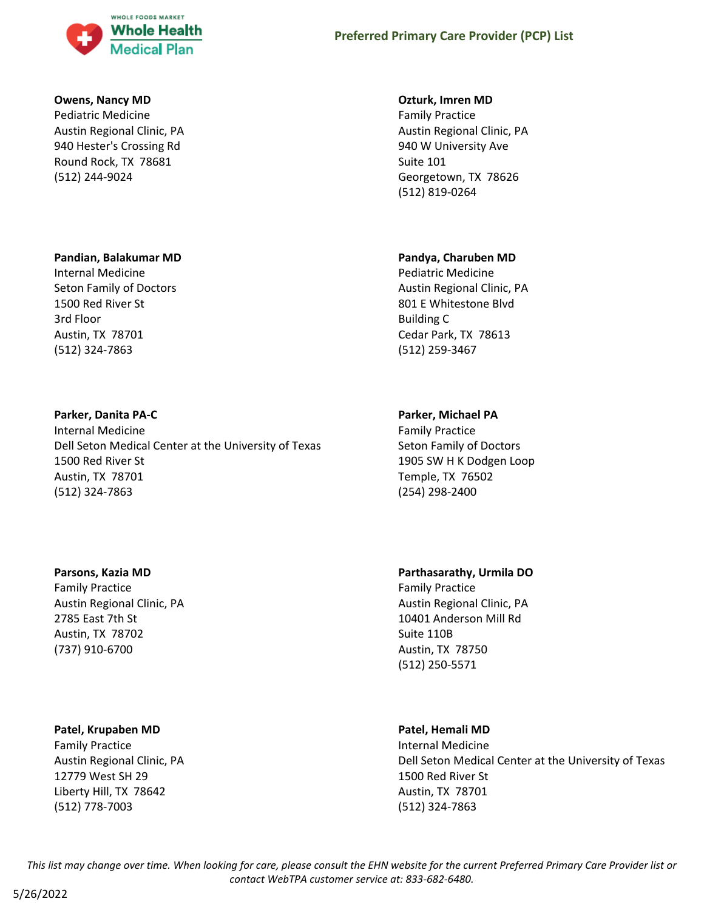

### **Owens, Nancy MD**

Pediatric Medicine Austin Regional Clinic, PA 940 Hester's Crossing Rd Round Rock, TX 78681 (512) 244-9024

#### **Pandian, Balakumar MD**

Internal Medicine Seton Family of Doctors 1500 Red River St 3rd Floor Austin, TX 78701 (512) 324-7863

# **Parker, Danita PA-C**

Internal Medicine Dell Seton Medical Center at the University of Texas 1500 Red River St Austin, TX 78701 (512) 324-7863

# **Parsons, Kazia MD**

Family Practice Austin Regional Clinic, PA 2785 East 7th St Austin, TX 78702 (737) 910-6700

# **Patel, Krupaben MD**

Family Practice Austin Regional Clinic, PA 12779 West SH 29 Liberty Hill, TX 78642 (512) 778-7003

# **Ozturk, Imren MD**

Family Practice Austin Regional Clinic, PA 940 W University Ave Suite 101 Georgetown, TX 78626 (512) 819-0264

# **Pandya, Charuben MD**

Pediatric Medicine Austin Regional Clinic, PA 801 E Whitestone Blvd Building C Cedar Park, TX 78613 (512) 259-3467

# **Parker, Michael PA**

Family Practice Seton Family of Doctors 1905 SW H K Dodgen Loop Temple, TX 76502 (254) 298-2400

# **Parthasarathy, Urmila DO**

Family Practice Austin Regional Clinic, PA 10401 Anderson Mill Rd Suite 110B Austin, TX 78750 (512) 250-5571

# **Patel, Hemali MD**

Internal Medicine Dell Seton Medical Center at the University of Texas 1500 Red River St Austin, TX 78701 (512) 324-7863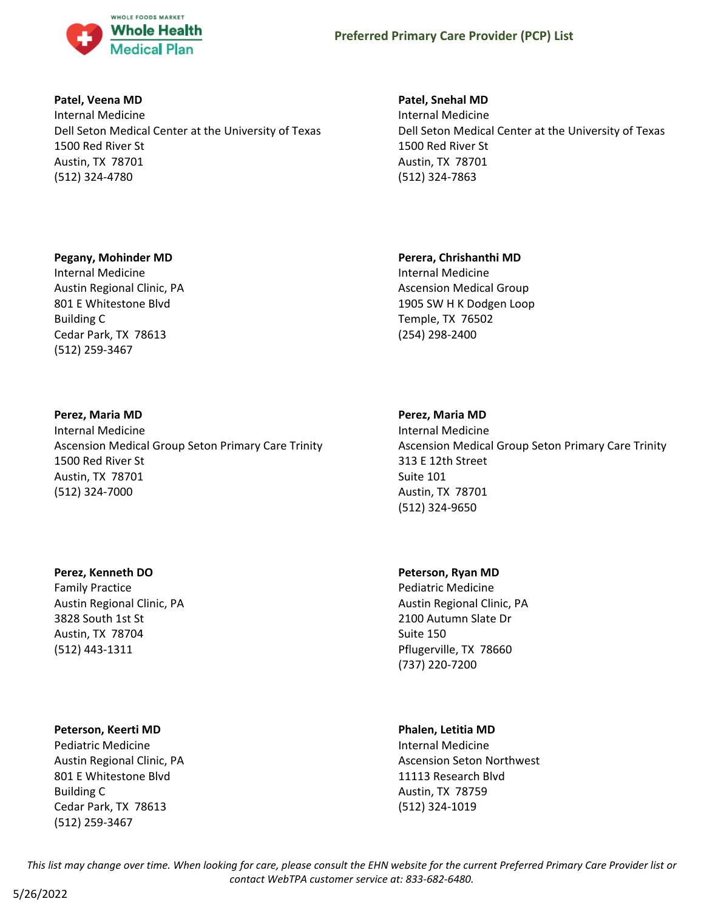

# **Patel, Veena MD**

Internal Medicine Dell Seton Medical Center at the University of Texas 1500 Red River St Austin, TX 78701 (512) 324-4780

# **Pegany, Mohinder MD**

Internal Medicine Austin Regional Clinic, PA 801 E Whitestone Blvd Building C Cedar Park, TX 78613 (512) 259-3467

# **Perez, Maria MD**

Internal Medicine Ascension Medical Group Seton Primary Care Trinity 1500 Red River St Austin, TX 78701 (512) 324-7000

# **Perez, Kenneth DO**

Family Practice Austin Regional Clinic, PA 3828 South 1st St Austin, TX 78704 (512) 443-1311

# **Peterson, Keerti MD**

Pediatric Medicine Austin Regional Clinic, PA 801 E Whitestone Blvd Building C Cedar Park, TX 78613 (512) 259-3467

# **Patel, Snehal MD**

Internal Medicine Dell Seton Medical Center at the University of Texas 1500 Red River St Austin, TX 78701 (512) 324-7863

#### **Perera, Chrishanthi MD**

Internal Medicine Ascension Medical Group 1905 SW H K Dodgen Loop Temple, TX 76502 (254) 298-2400

#### **Perez, Maria MD**

Internal Medicine Ascension Medical Group Seton Primary Care Trinity 313 E 12th Street Suite 101 Austin, TX 78701 (512) 324-9650

#### **Peterson, Ryan MD**

Pediatric Medicine Austin Regional Clinic, PA 2100 Autumn Slate Dr Suite 150 Pflugerville, TX 78660 (737) 220-7200

#### **Phalen, Letitia MD**

Internal Medicine Ascension Seton Northwest 11113 Research Blvd Austin, TX 78759 (512) 324-1019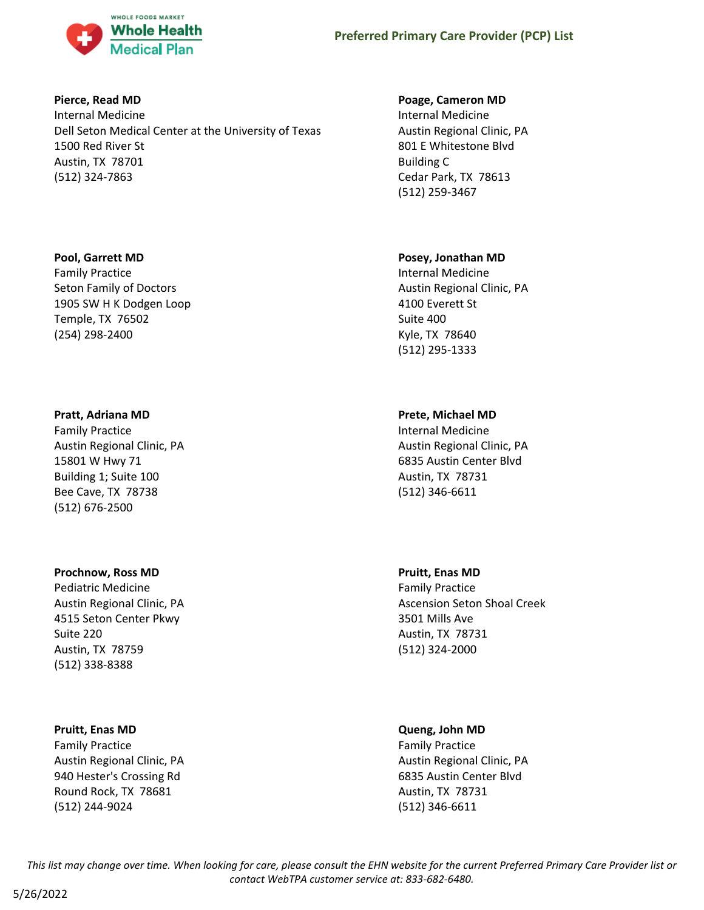

# **Pierce, Read MD**

Internal Medicine Dell Seton Medical Center at the University of Texas 1500 Red River St Austin, TX 78701 (512) 324-7863

# **Pool, Garrett MD**

Family Practice Seton Family of Doctors 1905 SW H K Dodgen Loop Temple, TX 76502 (254) 298-2400

# **Pratt, Adriana MD**

Family Practice Austin Regional Clinic, PA 15801 W Hwy 71 Building 1; Suite 100 Bee Cave, TX 78738 (512) 676-2500

# **Prochnow, Ross MD**

Pediatric Medicine Austin Regional Clinic, PA 4515 Seton Center Pkwy Suite 220 Austin, TX 78759 (512) 338-8388

# **Pruitt, Enas MD**

Family Practice Austin Regional Clinic, PA 940 Hester's Crossing Rd Round Rock, TX 78681 (512) 244-9024

# **Poage, Cameron MD**

Internal Medicine Austin Regional Clinic, PA 801 E Whitestone Blvd Building C Cedar Park, TX 78613 (512) 259-3467

# **Posey, Jonathan MD**

Internal Medicine Austin Regional Clinic, PA 4100 Everett St Suite 400 Kyle, TX 78640 (512) 295-1333

# **Prete, Michael MD**

Internal Medicine Austin Regional Clinic, PA 6835 Austin Center Blvd Austin, TX 78731 (512) 346-6611

# **Pruitt, Enas MD**

Family Practice Ascension Seton Shoal Creek 3501 Mills Ave Austin, TX 78731 (512) 324-2000

# **Queng, John MD**

Family Practice Austin Regional Clinic, PA 6835 Austin Center Blvd Austin, TX 78731 (512) 346-6611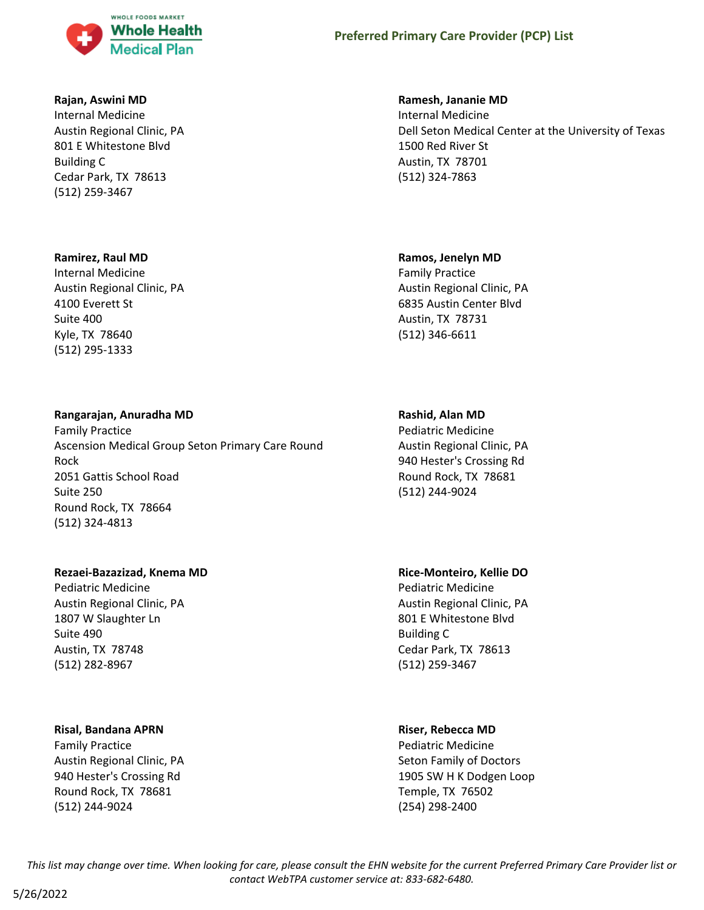

### **Rajan, Aswini MD**

Internal Medicine Austin Regional Clinic, PA 801 E Whitestone Blvd Building C Cedar Park, TX 78613 (512) 259-3467

#### **Ramirez, Raul MD**

Internal Medicine Austin Regional Clinic, PA 4100 Everett St Suite 400 Kyle, TX 78640 (512) 295-1333

# **Rangarajan, Anuradha MD**

Family Practice Ascension Medical Group Seton Primary Care Round Rock 2051 Gattis School Road Suite 250 Round Rock, TX 78664 (512) 324-4813

#### **Rezaei-Bazazizad, Knema MD**

Pediatric Medicine Austin Regional Clinic, PA 1807 W Slaughter Ln Suite 490 Austin, TX 78748 (512) 282-8967

#### **Risal, Bandana APRN**

Family Practice Austin Regional Clinic, PA 940 Hester's Crossing Rd Round Rock, TX 78681 (512) 244-9024

### **Ramesh, Jananie MD**

Internal Medicine Dell Seton Medical Center at the University of Texas 1500 Red River St Austin, TX 78701 (512) 324-7863

#### **Ramos, Jenelyn MD**

Family Practice Austin Regional Clinic, PA 6835 Austin Center Blvd Austin, TX 78731 (512) 346-6611

#### **Rashid, Alan MD**

Pediatric Medicine Austin Regional Clinic, PA 940 Hester's Crossing Rd Round Rock, TX 78681 (512) 244-9024

# **Rice-Monteiro, Kellie DO**

Pediatric Medicine Austin Regional Clinic, PA 801 E Whitestone Blvd Building C Cedar Park, TX 78613 (512) 259-3467

#### **Riser, Rebecca MD**

Pediatric Medicine Seton Family of Doctors 1905 SW H K Dodgen Loop Temple, TX 76502 (254) 298-2400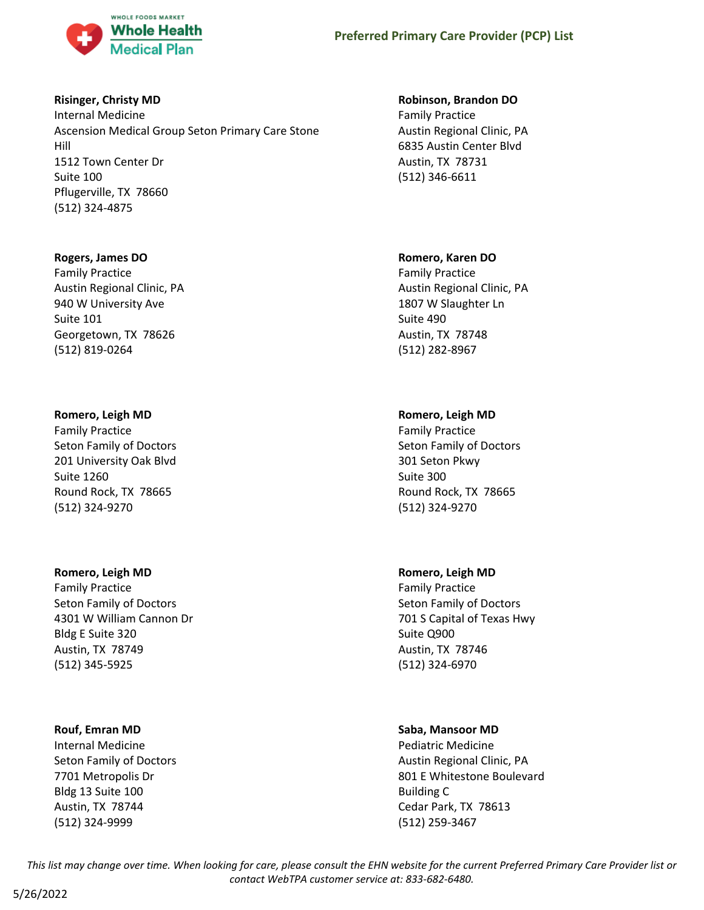

# **Risinger, Christy MD**

Internal Medicine Ascension Medical Group Seton Primary Care Stone Hill 1512 Town Center Dr Suite 100 Pflugerville, TX 78660 (512) 324-4875

# **Rogers, James DO**

Family Practice Austin Regional Clinic, PA 940 W University Ave Suite 101 Georgetown, TX 78626 (512) 819-0264

# **Romero, Leigh MD**

Family Practice Seton Family of Doctors 201 University Oak Blvd Suite 1260 Round Rock, TX 78665 (512) 324-9270

# **Romero, Leigh MD**

Family Practice Seton Family of Doctors 4301 W William Cannon Dr Bldg E Suite 320 Austin, TX 78749 (512) 345-5925

# **Rouf, Emran MD**

Internal Medicine Seton Family of Doctors 7701 Metropolis Dr Bldg 13 Suite 100 Austin, TX 78744 (512) 324-9999

# **Robinson, Brandon DO**

Family Practice Austin Regional Clinic, PA 6835 Austin Center Blvd Austin, TX 78731 (512) 346-6611

# **Romero, Karen DO**

Family Practice Austin Regional Clinic, PA 1807 W Slaughter Ln Suite 490 Austin, TX 78748 (512) 282-8967

# **Romero, Leigh MD**

Family Practice Seton Family of Doctors 301 Seton Pkwy Suite 300 Round Rock, TX 78665 (512) 324-9270

# **Romero, Leigh MD**

Family Practice Seton Family of Doctors 701 S Capital of Texas Hwy Suite Q900 Austin, TX 78746 (512) 324-6970

# **Saba, Mansoor MD**

Pediatric Medicine Austin Regional Clinic, PA 801 E Whitestone Boulevard Building C Cedar Park, TX 78613 (512) 259-3467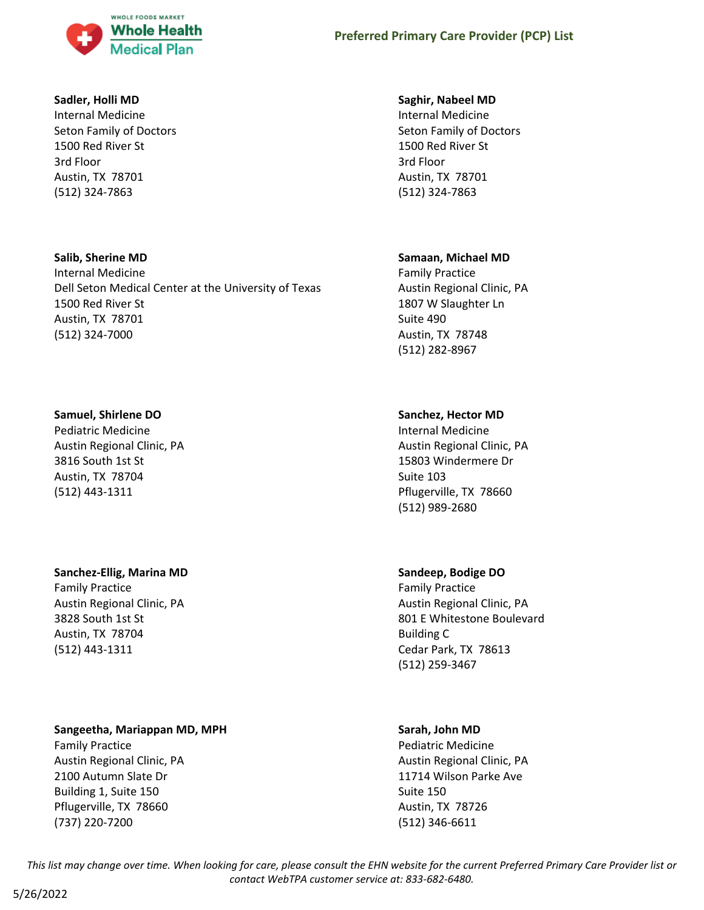

# **Sadler, Holli MD**

Internal Medicine Seton Family of Doctors 1500 Red River St 3rd Floor Austin, TX 78701 (512) 324-7863

# **Salib, Sherine MD**

Internal Medicine Dell Seton Medical Center at the University of Texas 1500 Red River St Austin, TX 78701 (512) 324-7000

# **Samuel, Shirlene DO**

Pediatric Medicine Austin Regional Clinic, PA 3816 South 1st St Austin, TX 78704 (512) 443-1311

# **Sanchez-Ellig, Marina MD**

Family Practice Austin Regional Clinic, PA 3828 South 1st St Austin, TX 78704 (512) 443-1311

# **Sangeetha, Mariappan MD, MPH**

Family Practice Austin Regional Clinic, PA 2100 Autumn Slate Dr Building 1, Suite 150 Pflugerville, TX 78660 (737) 220-7200

# **Saghir, Nabeel MD**

Internal Medicine Seton Family of Doctors 1500 Red River St 3rd Floor Austin, TX 78701 (512) 324-7863

# **Samaan, Michael MD**

Family Practice Austin Regional Clinic, PA 1807 W Slaughter Ln Suite 490 Austin, TX 78748 (512) 282-8967

# **Sanchez, Hector MD**

Internal Medicine Austin Regional Clinic, PA 15803 Windermere Dr Suite 103 Pflugerville, TX 78660 (512) 989-2680

# **Sandeep, Bodige DO**

Family Practice Austin Regional Clinic, PA 801 E Whitestone Boulevard Building C Cedar Park, TX 78613 (512) 259-3467

# **Sarah, John MD**

Pediatric Medicine Austin Regional Clinic, PA 11714 Wilson Parke Ave Suite 150 Austin, TX 78726 (512) 346-6611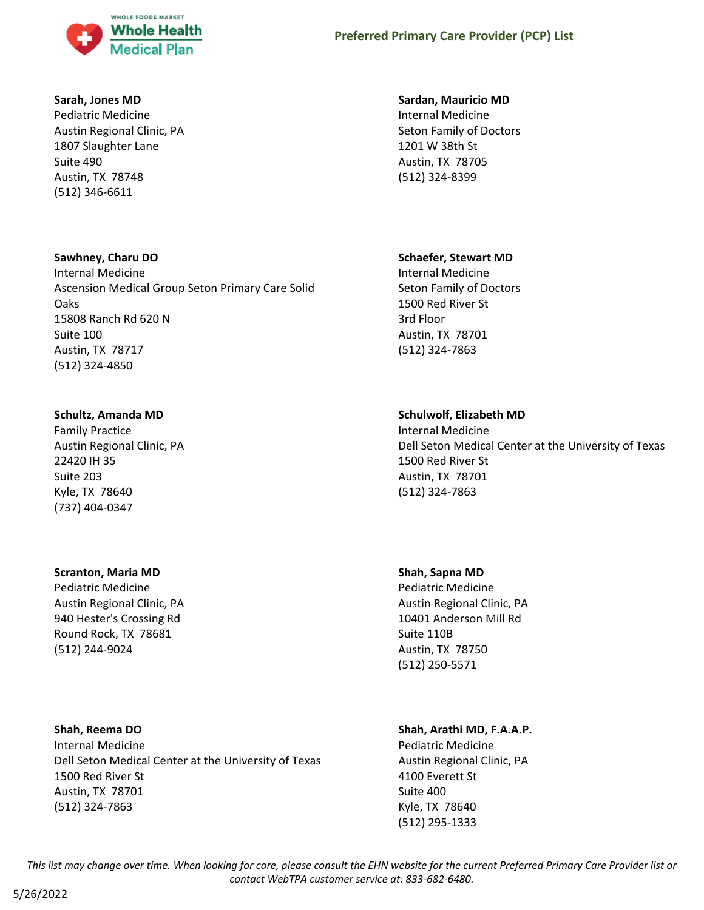

### **Sarah, Jones MD**

Pediatric Medicine Austin Regional Clinic, PA 1807 Slaughter Lane Suite 490 Austin, TX 78748 (512) 346-6611

# **Sawhney, Charu DO**

Internal Medicine Ascension Medical Group Seton Primary Care Solid Oaks 15808 Ranch Rd 620 N Suite 100 Austin, TX 78717 (512) 324-4850

# **Schultz, Amanda MD**

Family Practice Austin Regional Clinic, PA 22420 IH 35 Suite 203 Kyle, TX 78640 (737) 404-0347

# **Scranton, Maria MD**

Pediatric Medicine Austin Regional Clinic, PA 940 Hester's Crossing Rd Round Rock, TX 78681 (512) 244-9024

# **Shah, Reema DO**

Internal Medicine Dell Seton Medical Center at the University of Texas 1500 Red River St Austin, TX 78701 (512) 324-7863

#### **Sardan, Mauricio MD**

Internal Medicine Seton Family of Doctors 1201 W 38th St Austin, TX 78705 (512) 324-8399

# **Schaefer, Stewart MD**

Internal Medicine Seton Family of Doctors 1500 Red River St 3rd Floor Austin, TX 78701 (512) 324-7863

# **Schulwolf, Elizabeth MD**

Internal Medicine Dell Seton Medical Center at the University of Texas 1500 Red River St Austin, TX 78701 (512) 324-7863

# **Shah, Sapna MD**

Pediatric Medicine Austin Regional Clinic, PA 10401 Anderson Mill Rd Suite 110B Austin, TX 78750 (512) 250-5571

# **Shah, Arathi MD, F.A.A.P.**

Pediatric Medicine Austin Regional Clinic, PA 4100 Everett St Suite 400 Kyle, TX 78640 (512) 295-1333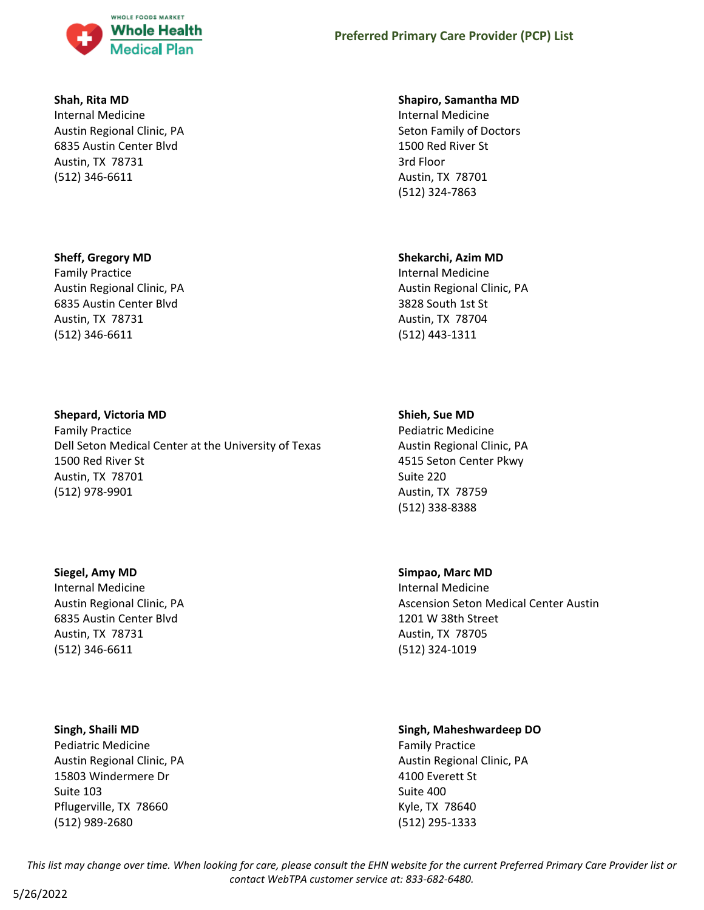

# **Shah, Rita MD**

Internal Medicine Austin Regional Clinic, PA 6835 Austin Center Blvd Austin, TX 78731 (512) 346-6611

# **Sheff, Gregory MD**

Family Practice Austin Regional Clinic, PA 6835 Austin Center Blvd Austin, TX 78731 (512) 346-6611

# **Shepard, Victoria MD**

Family Practice Dell Seton Medical Center at the University of Texas 1500 Red River St Austin, TX 78701 (512) 978-9901

**Siegel, Amy MD** Internal Medicine Austin Regional Clinic, PA 6835 Austin Center Blvd Austin, TX 78731 (512) 346-6611

# **Singh, Shaili MD**

Pediatric Medicine Austin Regional Clinic, PA 15803 Windermere Dr Suite 103 Pflugerville, TX 78660 (512) 989-2680

# **Shapiro, Samantha MD**

Internal Medicine Seton Family of Doctors 1500 Red River St 3rd Floor Austin, TX 78701 (512) 324-7863

# **Shekarchi, Azim MD**

Internal Medicine Austin Regional Clinic, PA 3828 South 1st St Austin, TX 78704 (512) 443-1311

# **Shieh, Sue MD**

Pediatric Medicine Austin Regional Clinic, PA 4515 Seton Center Pkwy Suite 220 Austin, TX 78759 (512) 338-8388

**Simpao, Marc MD**

Internal Medicine Ascension Seton Medical Center Austin 1201 W 38th Street Austin, TX 78705 (512) 324-1019

# **Singh, Maheshwardeep DO**

Family Practice Austin Regional Clinic, PA 4100 Everett St Suite 400 Kyle, TX 78640 (512) 295-1333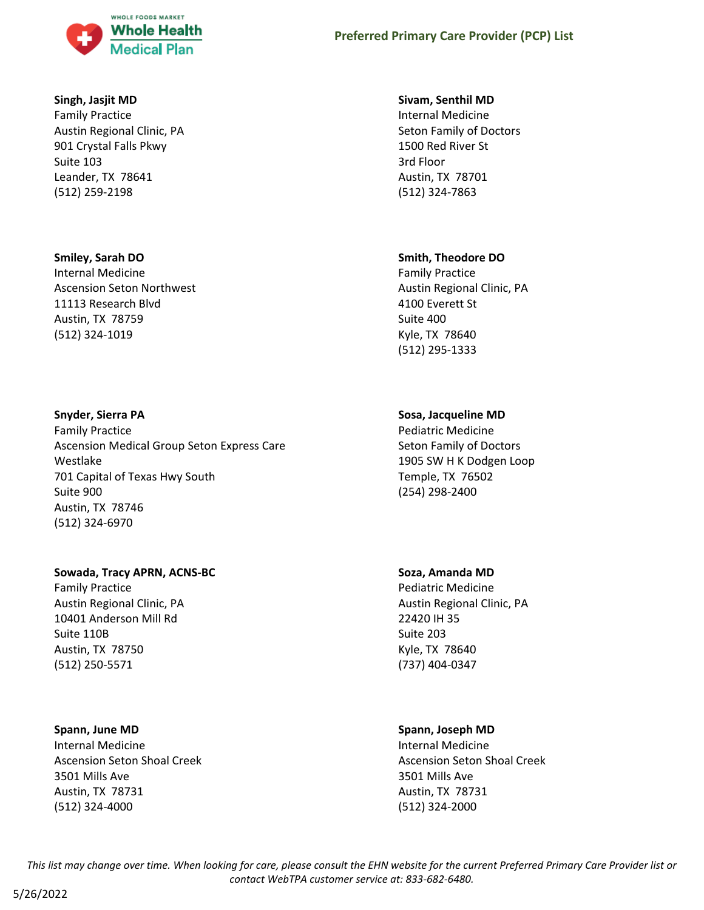

# **Singh, Jasjit MD**

Family Practice Austin Regional Clinic, PA 901 Crystal Falls Pkwy Suite 103 Leander, TX 78641 (512) 259-2198

#### **Smiley, Sarah DO**

Internal Medicine Ascension Seton Northwest 11113 Research Blvd Austin, TX 78759 (512) 324-1019

#### **Snyder, Sierra PA**

Family Practice Ascension Medical Group Seton Express Care Westlake 701 Capital of Texas Hwy South Suite 900 Austin, TX 78746 (512) 324-6970

# **Sowada, Tracy APRN, ACNS-BC**

Family Practice Austin Regional Clinic, PA 10401 Anderson Mill Rd Suite 110B Austin, TX 78750 (512) 250-5571

# **Spann, June MD**

Internal Medicine Ascension Seton Shoal Creek 3501 Mills Ave Austin, TX 78731 (512) 324-4000

#### **Sivam, Senthil MD**

Internal Medicine Seton Family of Doctors 1500 Red River St 3rd Floor Austin, TX 78701 (512) 324-7863

#### **Smith, Theodore DO**

Family Practice Austin Regional Clinic, PA 4100 Everett St Suite 400 Kyle, TX 78640 (512) 295-1333

# **Sosa, Jacqueline MD**

Pediatric Medicine Seton Family of Doctors 1905 SW H K Dodgen Loop Temple, TX 76502 (254) 298-2400

# **Soza, Amanda MD**

Pediatric Medicine Austin Regional Clinic, PA 22420 IH 35 Suite 203 Kyle, TX 78640 (737) 404-0347

# **Spann, Joseph MD**

Internal Medicine Ascension Seton Shoal Creek 3501 Mills Ave Austin, TX 78731 (512) 324-2000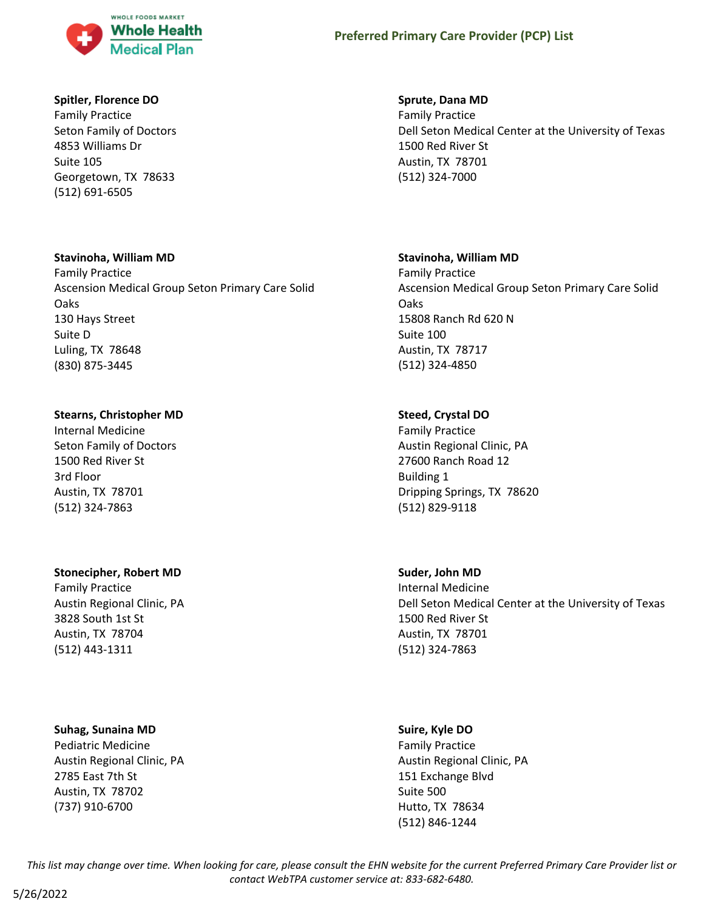

# **Spitler, Florence DO**

Family Practice Seton Family of Doctors 4853 Williams Dr Suite 105 Georgetown, TX 78633 (512) 691-6505

# **Stavinoha, William MD**

Family Practice Ascension Medical Group Seton Primary Care Solid Oaks 130 Hays Street Suite D Luling, TX 78648 (830) 875-3445

# **Stearns, Christopher MD**

Internal Medicine Seton Family of Doctors 1500 Red River St 3rd Floor Austin, TX 78701 (512) 324-7863

# **Stonecipher, Robert MD**

Family Practice Austin Regional Clinic, PA 3828 South 1st St Austin, TX 78704 (512) 443-1311

# **Suhag, Sunaina MD**

Pediatric Medicine Austin Regional Clinic, PA 2785 East 7th St Austin, TX 78702 (737) 910-6700

# **Sprute, Dana MD**

Family Practice Dell Seton Medical Center at the University of Texas 1500 Red River St Austin, TX 78701 (512) 324-7000

# **Stavinoha, William MD**

Family Practice Ascension Medical Group Seton Primary Care Solid Oaks 15808 Ranch Rd 620 N Suite 100 Austin, TX 78717 (512) 324-4850

# **Steed, Crystal DO**

Family Practice Austin Regional Clinic, PA 27600 Ranch Road 12 Building 1 Dripping Springs, TX 78620 (512) 829-9118

# **Suder, John MD**

Internal Medicine Dell Seton Medical Center at the University of Texas 1500 Red River St Austin, TX 78701 (512) 324-7863

# **Suire, Kyle DO**

Family Practice Austin Regional Clinic, PA 151 Exchange Blvd Suite 500 Hutto, TX 78634 (512) 846-1244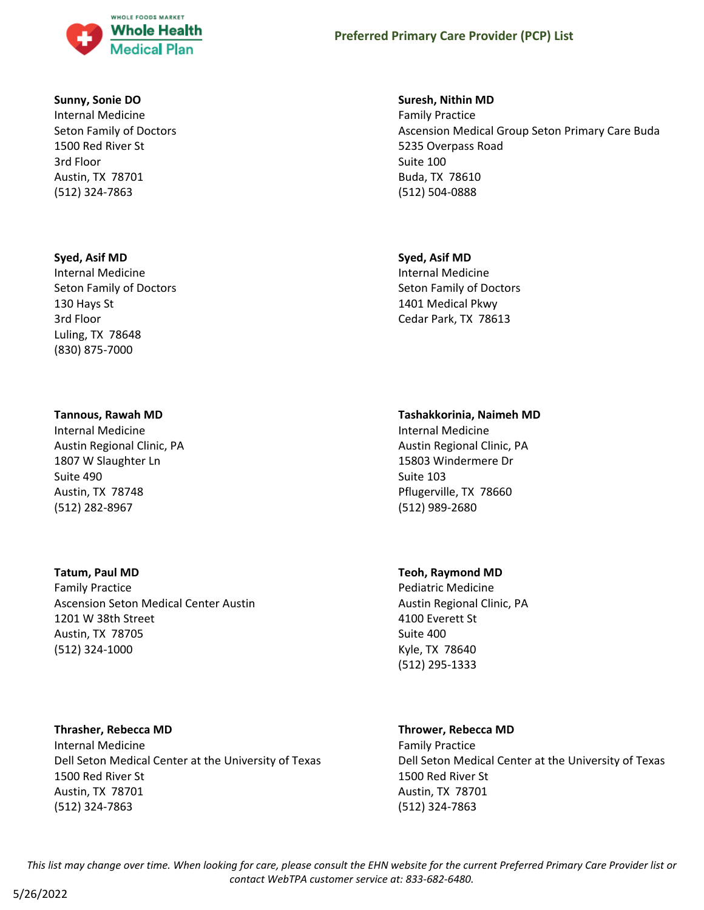

#### **Sunny, Sonie DO**

Internal Medicine Seton Family of Doctors 1500 Red River St 3rd Floor Austin, TX 78701 (512) 324-7863

# **Syed, Asif MD**

Internal Medicine Seton Family of Doctors 130 Hays St 3rd Floor Luling, TX 78648 (830) 875-7000

#### **Tannous, Rawah MD**

Internal Medicine Austin Regional Clinic, PA 1807 W Slaughter Ln Suite 490 Austin, TX 78748 (512) 282-8967

#### **Tatum, Paul MD**

Family Practice Ascension Seton Medical Center Austin 1201 W 38th Street Austin, TX 78705 (512) 324-1000

# **Thrasher, Rebecca MD**

Internal Medicine Dell Seton Medical Center at the University of Texas 1500 Red River St Austin, TX 78701 (512) 324-7863

#### **Suresh, Nithin MD**

Family Practice Ascension Medical Group Seton Primary Care Buda 5235 Overpass Road Suite 100 Buda, TX 78610 (512) 504-0888

### **Syed, Asif MD**

Internal Medicine Seton Family of Doctors 1401 Medical Pkwy Cedar Park, TX 78613

#### **Tashakkorinia, Naimeh MD**

Internal Medicine Austin Regional Clinic, PA 15803 Windermere Dr Suite 103 Pflugerville, TX 78660 (512) 989-2680

#### **Teoh, Raymond MD**

Pediatric Medicine Austin Regional Clinic, PA 4100 Everett St Suite 400 Kyle, TX 78640 (512) 295-1333

# **Thrower, Rebecca MD**

Family Practice Dell Seton Medical Center at the University of Texas 1500 Red River St Austin, TX 78701 (512) 324-7863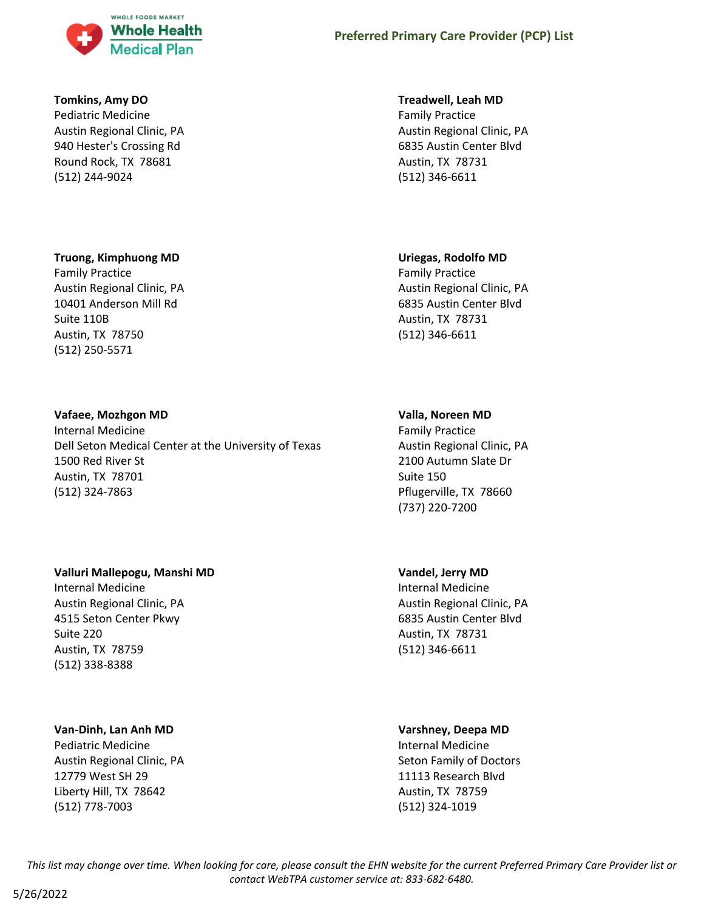

# **Tomkins, Amy DO**

Pediatric Medicine Austin Regional Clinic, PA 940 Hester's Crossing Rd Round Rock, TX 78681 (512) 244-9024

# **Truong, Kimphuong MD**

Family Practice Austin Regional Clinic, PA 10401 Anderson Mill Rd Suite 110B Austin, TX 78750 (512) 250-5571

#### **Vafaee, Mozhgon MD**

Internal Medicine Dell Seton Medical Center at the University of Texas 1500 Red River St Austin, TX 78701 (512) 324-7863

# **Valluri Mallepogu, Manshi MD**

Internal Medicine Austin Regional Clinic, PA 4515 Seton Center Pkwy Suite 220 Austin, TX 78759 (512) 338-8388

# **Van-Dinh, Lan Anh MD**

Pediatric Medicine Austin Regional Clinic, PA 12779 West SH 29 Liberty Hill, TX 78642 (512) 778-7003

#### **Treadwell, Leah MD**

Family Practice Austin Regional Clinic, PA 6835 Austin Center Blvd Austin, TX 78731 (512) 346-6611

# **Uriegas, Rodolfo MD**

Family Practice Austin Regional Clinic, PA 6835 Austin Center Blvd Austin, TX 78731 (512) 346-6611

#### **Valla, Noreen MD**

Family Practice Austin Regional Clinic, PA 2100 Autumn Slate Dr Suite 150 Pflugerville, TX 78660 (737) 220-7200

# **Vandel, Jerry MD**

Internal Medicine Austin Regional Clinic, PA 6835 Austin Center Blvd Austin, TX 78731 (512) 346-6611

#### **Varshney, Deepa MD**

Internal Medicine Seton Family of Doctors 11113 Research Blvd Austin, TX 78759 (512) 324-1019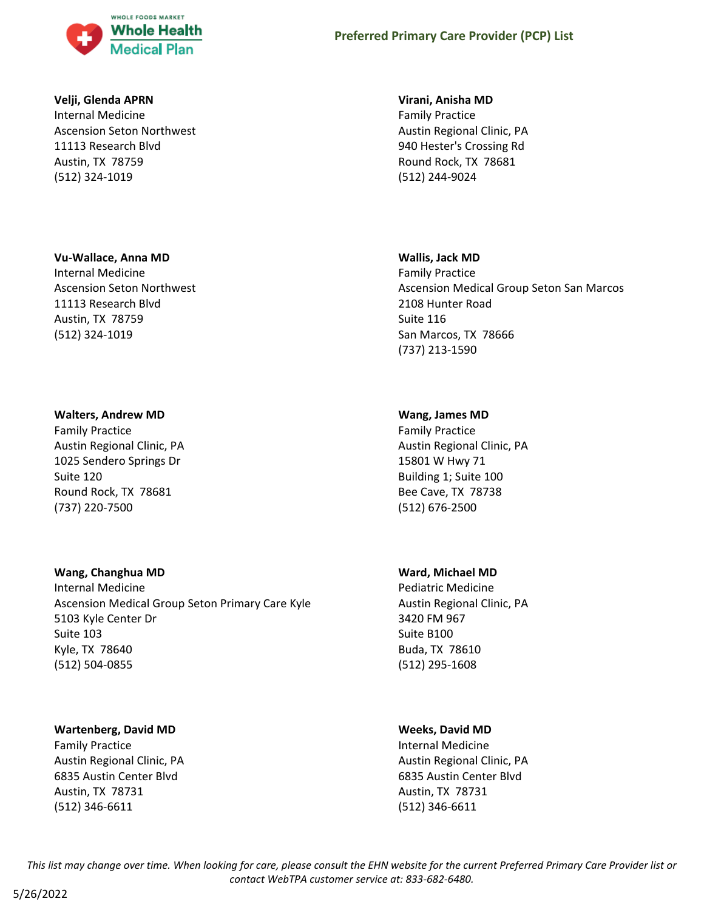

### **Velji, Glenda APRN**

Internal Medicine Ascension Seton Northwest 11113 Research Blvd Austin, TX 78759 (512) 324-1019

#### **Vu-Wallace, Anna MD**

Internal Medicine Ascension Seton Northwest 11113 Research Blvd Austin, TX 78759 (512) 324-1019

#### **Walters, Andrew MD**

Family Practice Austin Regional Clinic, PA 1025 Sendero Springs Dr Suite 120 Round Rock, TX 78681 (737) 220-7500

# **Wang, Changhua MD**

Internal Medicine Ascension Medical Group Seton Primary Care Kyle 5103 Kyle Center Dr Suite 103 Kyle, TX 78640 (512) 504-0855

# **Wartenberg, David MD**

Family Practice Austin Regional Clinic, PA 6835 Austin Center Blvd Austin, TX 78731 (512) 346-6611

#### **Virani, Anisha MD**

Family Practice Austin Regional Clinic, PA 940 Hester's Crossing Rd Round Rock, TX 78681 (512) 244-9024

#### **Wallis, Jack MD**

Family Practice Ascension Medical Group Seton San Marcos 2108 Hunter Road Suite 116 San Marcos, TX 78666 (737) 213-1590

#### **Wang, James MD**

Family Practice Austin Regional Clinic, PA 15801 W Hwy 71 Building 1; Suite 100 Bee Cave, TX 78738 (512) 676-2500

#### **Ward, Michael MD**

Pediatric Medicine Austin Regional Clinic, PA 3420 FM 967 Suite B100 Buda, TX 78610 (512) 295-1608

# **Weeks, David MD**

Internal Medicine Austin Regional Clinic, PA 6835 Austin Center Blvd Austin, TX 78731 (512) 346-6611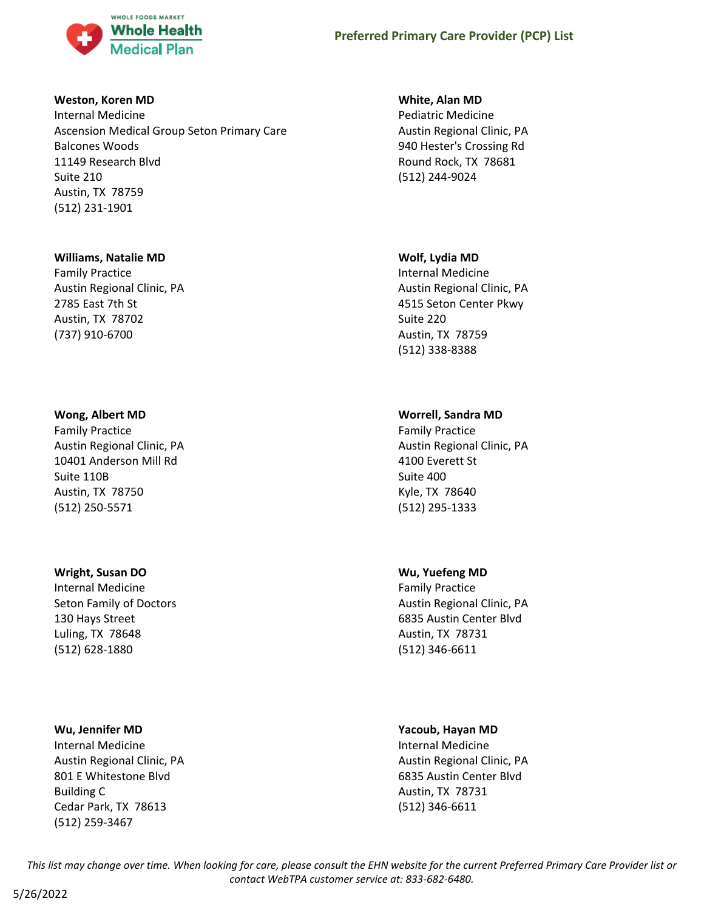

# **Weston, Koren MD**

Internal Medicine Ascension Medical Group Seton Primary Care Balcones Woods 11149 Research Blvd Suite 210 Austin, TX 78759 (512) 231-1901

# **Williams, Natalie MD**

Family Practice Austin Regional Clinic, PA 2785 East 7th St Austin, TX 78702 (737) 910-6700

# **Wong, Albert MD**

Family Practice Austin Regional Clinic, PA 10401 Anderson Mill Rd Suite 110B Austin, TX 78750 (512) 250-5571

# **Wright, Susan DO**

Internal Medicine Seton Family of Doctors 130 Hays Street Luling, TX 78648 (512) 628-1880

# **Wu, Jennifer MD**

Internal Medicine Austin Regional Clinic, PA 801 E Whitestone Blvd Building C Cedar Park, TX 78613 (512) 259-3467

# **White, Alan MD**

Pediatric Medicine Austin Regional Clinic, PA 940 Hester's Crossing Rd Round Rock, TX 78681 (512) 244-9024

# **Wolf, Lydia MD**

Internal Medicine Austin Regional Clinic, PA 4515 Seton Center Pkwy Suite 220 Austin, TX 78759 (512) 338-8388

# **Worrell, Sandra MD**

Family Practice Austin Regional Clinic, PA 4100 Everett St Suite 400 Kyle, TX 78640 (512) 295-1333

# **Wu, Yuefeng MD**

Family Practice Austin Regional Clinic, PA 6835 Austin Center Blvd Austin, TX 78731 (512) 346-6611

# **Yacoub, Hayan MD**

Internal Medicine Austin Regional Clinic, PA 6835 Austin Center Blvd Austin, TX 78731 (512) 346-6611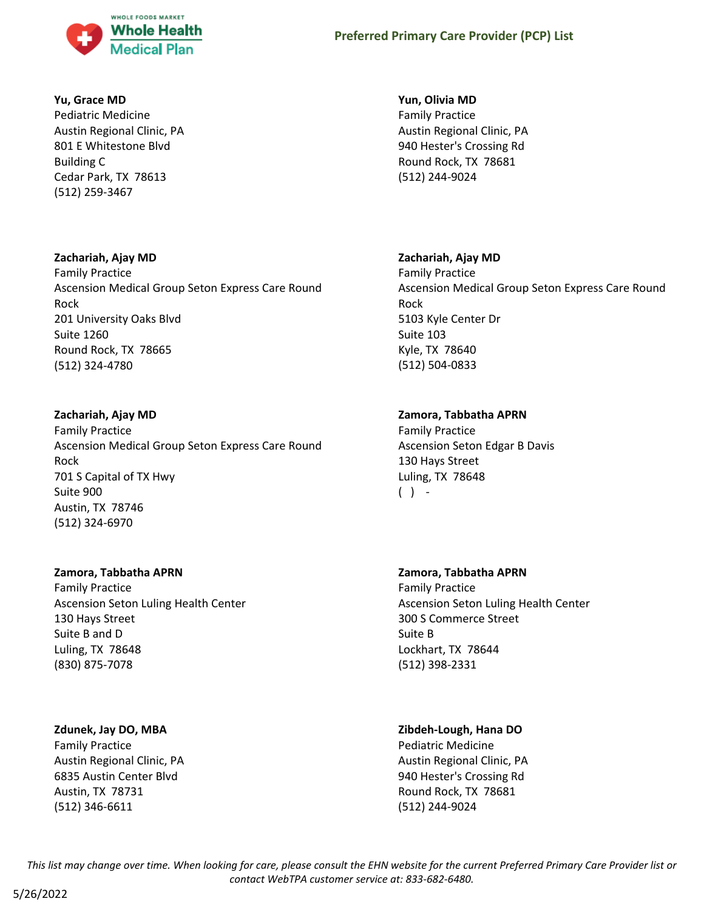

# **Yu, Grace MD**

Pediatric Medicine Austin Regional Clinic, PA 801 E Whitestone Blvd Building C Cedar Park, TX 78613 (512) 259-3467

# **Zachariah, Ajay MD**

Family Practice Ascension Medical Group Seton Express Care Round Rock 201 University Oaks Blvd Suite 1260 Round Rock, TX 78665 (512) 324-4780

# **Zachariah, Ajay MD**

Family Practice Ascension Medical Group Seton Express Care Round Rock 701 S Capital of TX Hwy Suite 900 Austin, TX 78746 (512) 324-6970

# **Zamora, Tabbatha APRN**

Family Practice Ascension Seton Luling Health Center 130 Hays Street Suite B and D Luling, TX 78648 (830) 875-7078

# **Zdunek, Jay DO, MBA**

Family Practice Austin Regional Clinic, PA 6835 Austin Center Blvd Austin, TX 78731 (512) 346-6611

# **Yun, Olivia MD**

Family Practice Austin Regional Clinic, PA 940 Hester's Crossing Rd Round Rock, TX 78681 (512) 244-9024

# **Zachariah, Ajay MD**

Family Practice Ascension Medical Group Seton Express Care Round Rock 5103 Kyle Center Dr Suite 103 Kyle, TX 78640 (512) 504-0833

# **Zamora, Tabbatha APRN**

Family Practice Ascension Seton Edgar B Davis 130 Hays Street Luling, TX 78648  $( )$  -

# **Zamora, Tabbatha APRN**

Family Practice Ascension Seton Luling Health Center 300 S Commerce Street Suite B Lockhart, TX 78644 (512) 398-2331

# **Zibdeh-Lough, Hana DO**

Pediatric Medicine Austin Regional Clinic, PA 940 Hester's Crossing Rd Round Rock, TX 78681 (512) 244-9024